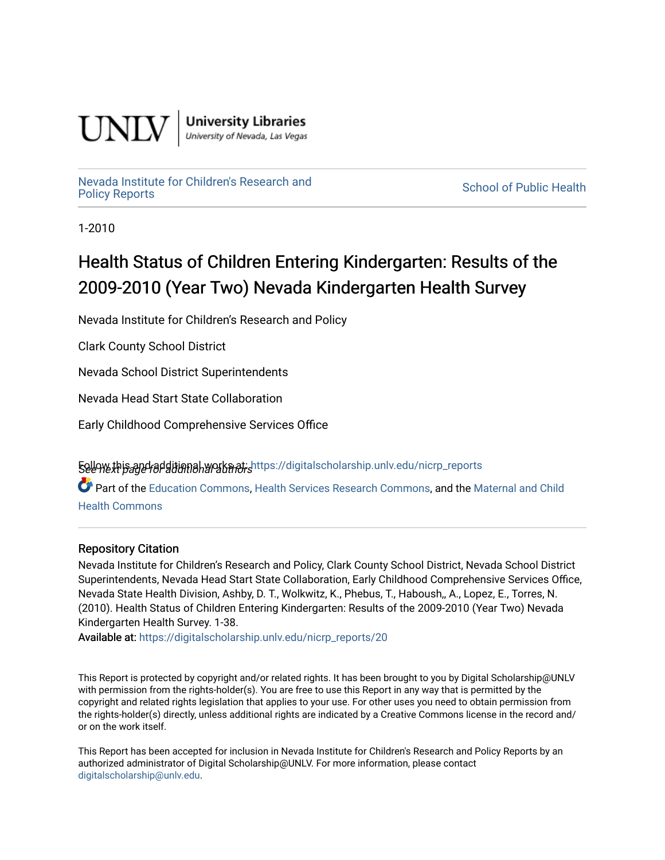

**University Libraries**<br>University of Nevada, Las Vegas

## [Nevada Institute for Children's Research and](https://digitalscholarship.unlv.edu/nicrp_reports)

**School of Public Health** 

1-2010

## Health Status of Children Entering Kindergarten: Results of the 2009-2010 (Year Two) Nevada Kindergarten Health Survey

Nevada Institute for Children's Research and Policy

Clark County School District

Nevada School District Superintendents

Nevada Head Start State Collaboration

Early Childhood Comprehensive Services Office

5ellow this and additional works at: [https://digitalscholarship.unlv.edu/nicrp\\_reports](https://digitalscholarship.unlv.edu/nicrp_reports?utm_source=digitalscholarship.unlv.edu%2Fnicrp_reports%2F20&utm_medium=PDF&utm_campaign=PDFCoverPages)

Part of the [Education Commons](http://network.bepress.com/hgg/discipline/784?utm_source=digitalscholarship.unlv.edu%2Fnicrp_reports%2F20&utm_medium=PDF&utm_campaign=PDFCoverPages), [Health Services Research Commons](http://network.bepress.com/hgg/discipline/816?utm_source=digitalscholarship.unlv.edu%2Fnicrp_reports%2F20&utm_medium=PDF&utm_campaign=PDFCoverPages), and the [Maternal and Child](http://network.bepress.com/hgg/discipline/745?utm_source=digitalscholarship.unlv.edu%2Fnicrp_reports%2F20&utm_medium=PDF&utm_campaign=PDFCoverPages)  [Health Commons](http://network.bepress.com/hgg/discipline/745?utm_source=digitalscholarship.unlv.edu%2Fnicrp_reports%2F20&utm_medium=PDF&utm_campaign=PDFCoverPages) 

#### Repository Citation

Nevada Institute for Children's Research and Policy, Clark County School District, Nevada School District Superintendents, Nevada Head Start State Collaboration, Early Childhood Comprehensive Services Office, Nevada State Health Division, Ashby, D. T., Wolkwitz, K., Phebus, T., Haboush,, A., Lopez, E., Torres, N. (2010). Health Status of Children Entering Kindergarten: Results of the 2009-2010 (Year Two) Nevada Kindergarten Health Survey. 1-38.

Available at: [https://digitalscholarship.unlv.edu/nicrp\\_reports/20](https://digitalscholarship.unlv.edu/nicrp_reports/20) 

This Report is protected by copyright and/or related rights. It has been brought to you by Digital Scholarship@UNLV with permission from the rights-holder(s). You are free to use this Report in any way that is permitted by the copyright and related rights legislation that applies to your use. For other uses you need to obtain permission from the rights-holder(s) directly, unless additional rights are indicated by a Creative Commons license in the record and/ or on the work itself.

This Report has been accepted for inclusion in Nevada Institute for Children's Research and Policy Reports by an authorized administrator of Digital Scholarship@UNLV. For more information, please contact [digitalscholarship@unlv.edu](mailto:digitalscholarship@unlv.edu).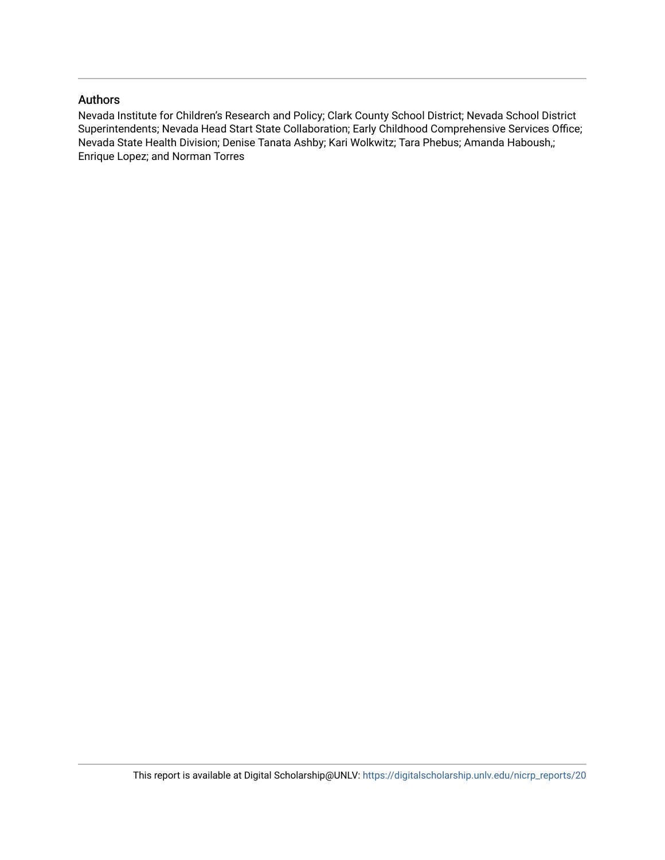#### Authors

Nevada Institute for Children's Research and Policy; Clark County School District; Nevada School District Superintendents; Nevada Head Start State Collaboration; Early Childhood Comprehensive Services Office; Nevada State Health Division; Denise Tanata Ashby; Kari Wolkwitz; Tara Phebus; Amanda Haboush,; Enrique Lopez; and Norman Torres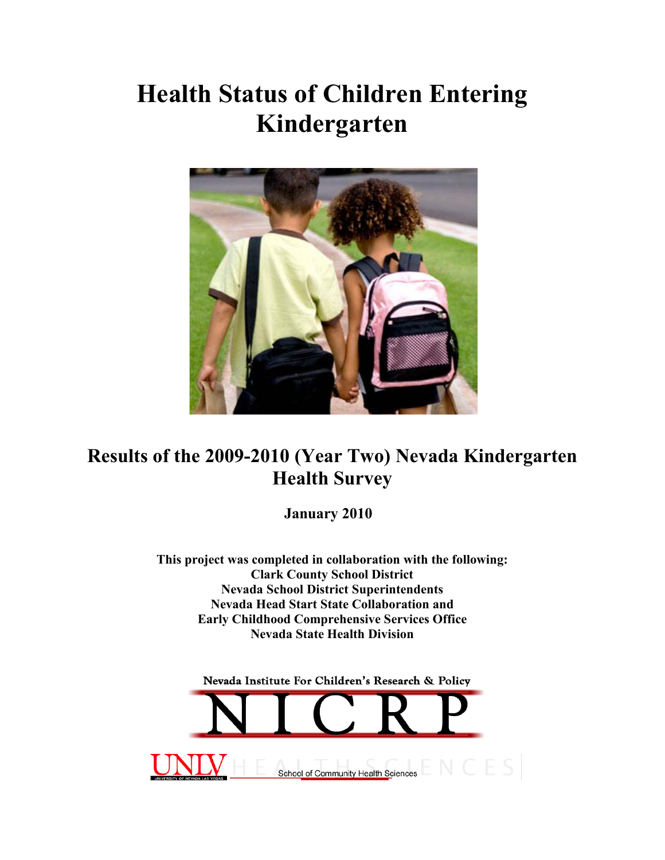# **Health Status of Children Entering Kindergarten**



## **Results of the 2009-2010 (Year Two) Nevada Kindergarten Health Survey**

**January 2010**

**This project was completed in collaboration with the following: Clark County School District Nevada School District Superintendents Nevada Head Start State Collaboration and Early Childhood Comprehensive Services Office Nevada State Health Division** 

Nevada Institute For Children's Research & Policy School of Community Health Sciences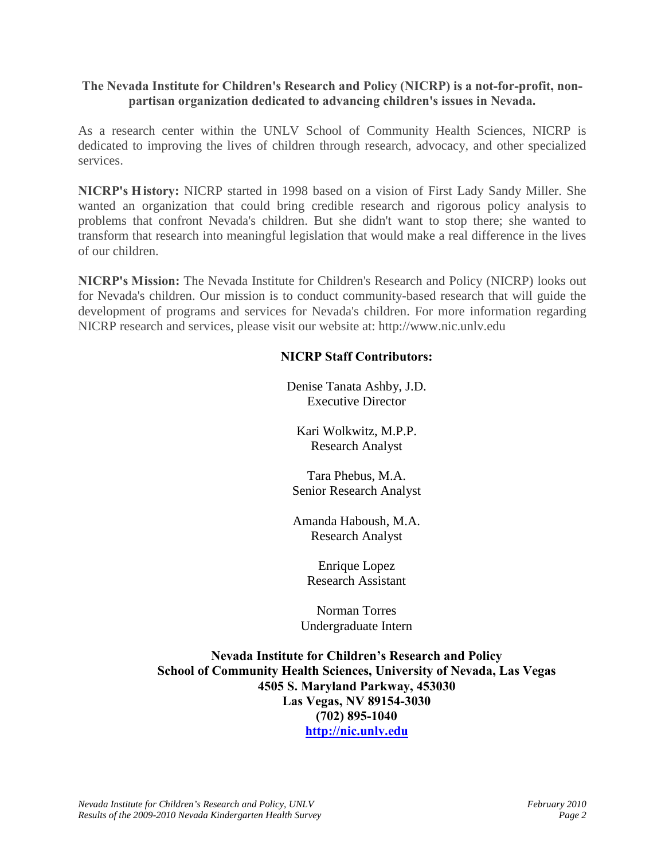#### **The Nevada Institute for Children's Research and Policy (NICRP) is a not-for-profit, nonpartisan organization dedicated to advancing children's issues in Nevada.**

As a research center within the UNLV School of Community Health Sciences, NICRP is dedicated to improving the lives of children through research, advocacy, and other specialized services.

**NICRP's History:** NICRP started in 1998 based on a vision of First Lady Sandy Miller. She wanted an organization that could bring credible research and rigorous policy analysis to problems that confront Nevada's children. But she didn't want to stop there; she wanted to transform that research into meaningful legislation that would make a real difference in the lives of our children.

**NICRP's Mission:** The Nevada Institute for Children's Research and Policy (NICRP) looks out for Nevada's children. Our mission is to conduct community-based research that will guide the development of programs and services for Nevada's children. For more information regarding NICRP research and services, please visit our website at: http://www.nic.unlv.edu

#### **NICRP Staff Contributors:**

Denise Tanata Ashby, J.D. Executive Director

Kari Wolkwitz, M.P.P. Research Analyst

Tara Phebus, M.A. Senior Research Analyst

Amanda Haboush, M.A. Research Analyst

> Enrique Lopez Research Assistant

Norman Torres Undergraduate Intern

**Nevada Institute for Children's Research and Policy School of Community Health Sciences, University of Nevada, Las Vegas 4505 S. Maryland Parkway, 453030 Las Vegas, NV 89154-3030 (702) 895-1040 [http://nic.unlv.edu](http://nic.unlv.edu/)**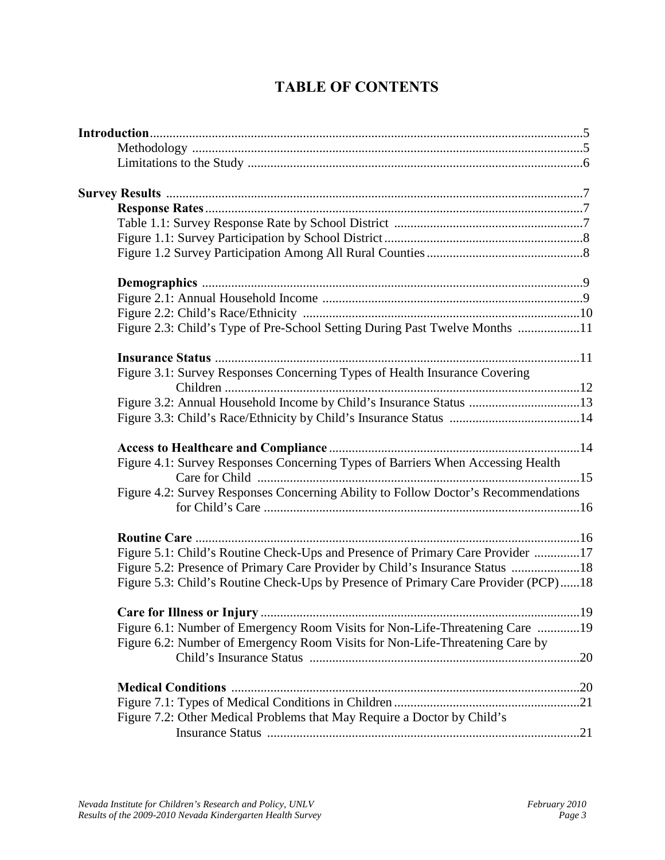## **TABLE OF CONTENTS**

| Figure 2.3: Child's Type of Pre-School Setting During Past Twelve Months 11        |  |
|------------------------------------------------------------------------------------|--|
|                                                                                    |  |
| Figure 3.1: Survey Responses Concerning Types of Health Insurance Covering         |  |
|                                                                                    |  |
| Figure 3.2: Annual Household Income by Child's Insurance Status 13                 |  |
|                                                                                    |  |
|                                                                                    |  |
| Figure 4.1: Survey Responses Concerning Types of Barriers When Accessing Health    |  |
| Figure 4.2: Survey Responses Concerning Ability to Follow Doctor's Recommendations |  |
|                                                                                    |  |
| Figure 5.1: Child's Routine Check-Ups and Presence of Primary Care Provider 17     |  |
| Figure 5.2: Presence of Primary Care Provider by Child's Insurance Status 18       |  |
| Figure 5.3: Child's Routine Check-Ups by Presence of Primary Care Provider (PCP)18 |  |
| Care for Illness or Injury<br>19                                                   |  |
| Figure 6.1: Number of Emergency Room Visits for Non-Life-Threatening Care 19       |  |
| Figure 6.2: Number of Emergency Room Visits for Non-Life-Threatening Care by       |  |
|                                                                                    |  |
|                                                                                    |  |
|                                                                                    |  |
| Figure 7.2: Other Medical Problems that May Require a Doctor by Child's            |  |
|                                                                                    |  |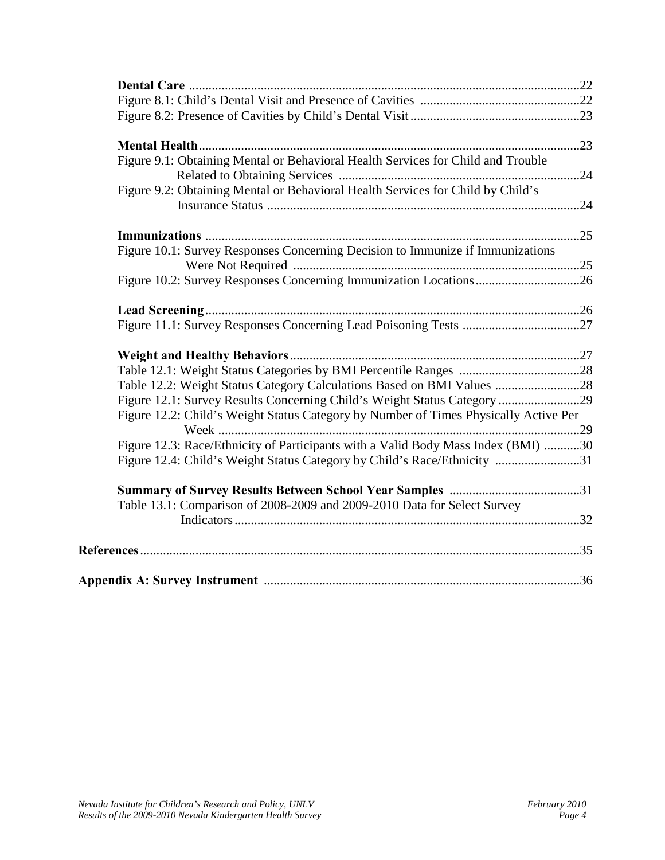| Figure 9.1: Obtaining Mental or Behavioral Health Services for Child and Trouble     |  |
|--------------------------------------------------------------------------------------|--|
|                                                                                      |  |
| Figure 9.2: Obtaining Mental or Behavioral Health Services for Child by Child's      |  |
|                                                                                      |  |
|                                                                                      |  |
| Figure 10.1: Survey Responses Concerning Decision to Immunize if Immunizations       |  |
|                                                                                      |  |
|                                                                                      |  |
|                                                                                      |  |
|                                                                                      |  |
|                                                                                      |  |
|                                                                                      |  |
| Table 12.2: Weight Status Category Calculations Based on BMI Values 28               |  |
| Figure 12.1: Survey Results Concerning Child's Weight Status Category 29             |  |
| Figure 12.2: Child's Weight Status Category by Number of Times Physically Active Per |  |
|                                                                                      |  |
| Figure 12.3: Race/Ethnicity of Participants with a Valid Body Mass Index (BMI) 30    |  |
| Figure 12.4: Child's Weight Status Category by Child's Race/Ethnicity 31             |  |
|                                                                                      |  |
| Table 13.1: Comparison of 2008-2009 and 2009-2010 Data for Select Survey             |  |
|                                                                                      |  |
|                                                                                      |  |
|                                                                                      |  |
|                                                                                      |  |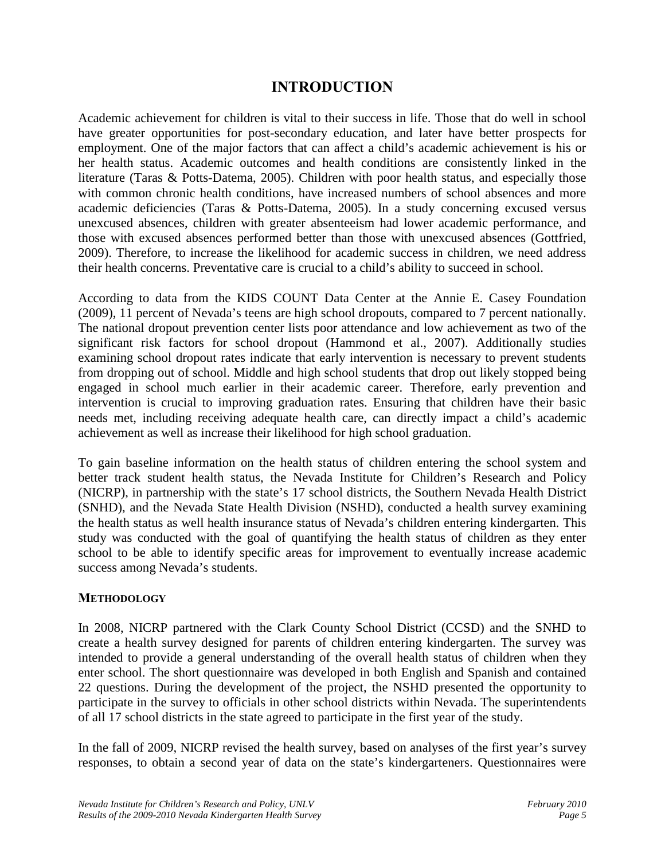#### **INTRODUCTION**

Academic achievement for children is vital to their success in life. Those that do well in school have greater opportunities for post-secondary education, and later have better prospects for employment. One of the major factors that can affect a child's academic achievement is his or her health status. Academic outcomes and health conditions are consistently linked in the literature (Taras & Potts-Datema, 2005). Children with poor health status, and especially those with common chronic health conditions, have increased numbers of school absences and more academic deficiencies (Taras & Potts-Datema, 2005). In a study concerning excused versus unexcused absences, children with greater absenteeism had lower academic performance, and those with excused absences performed better than those with unexcused absences (Gottfried, 2009). Therefore, to increase the likelihood for academic success in children, we need address their health concerns. Preventative care is crucial to a child's ability to succeed in school.

According to data from the KIDS COUNT Data Center at the Annie E. Casey Foundation (2009), 11 percent of Nevada's teens are high school dropouts, compared to 7 percent nationally. The national dropout prevention center lists poor attendance and low achievement as two of the significant risk factors for school dropout (Hammond et al., 2007). Additionally studies examining school dropout rates indicate that early intervention is necessary to prevent students from dropping out of school. Middle and high school students that drop out likely stopped being engaged in school much earlier in their academic career. Therefore, early prevention and intervention is crucial to improving graduation rates. Ensuring that children have their basic needs met, including receiving adequate health care, can directly impact a child's academic achievement as well as increase their likelihood for high school graduation.

To gain baseline information on the health status of children entering the school system and better track student health status, the Nevada Institute for Children's Research and Policy (NICRP), in partnership with the state's 17 school districts, the Southern Nevada Health District (SNHD), and the Nevada State Health Division (NSHD), conducted a health survey examining the health status as well health insurance status of Nevada's children entering kindergarten. This study was conducted with the goal of quantifying the health status of children as they enter school to be able to identify specific areas for improvement to eventually increase academic success among Nevada's students.

#### **METHODOLOGY**

In 2008, NICRP partnered with the Clark County School District (CCSD) and the SNHD to create a health survey designed for parents of children entering kindergarten. The survey was intended to provide a general understanding of the overall health status of children when they enter school. The short questionnaire was developed in both English and Spanish and contained 22 questions. During the development of the project, the NSHD presented the opportunity to participate in the survey to officials in other school districts within Nevada. The superintendents of all 17 school districts in the state agreed to participate in the first year of the study.

In the fall of 2009, NICRP revised the health survey, based on analyses of the first year's survey responses, to obtain a second year of data on the state's kindergarteners. Questionnaires were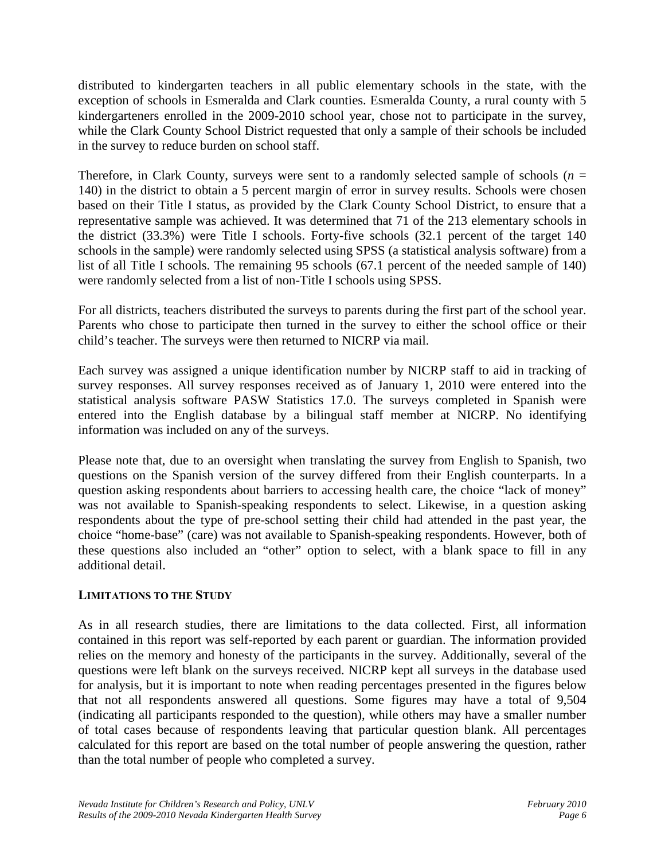distributed to kindergarten teachers in all public elementary schools in the state, with the exception of schools in Esmeralda and Clark counties. Esmeralda County, a rural county with 5 kindergarteners enrolled in the 2009-2010 school year, chose not to participate in the survey, while the Clark County School District requested that only a sample of their schools be included in the survey to reduce burden on school staff.

Therefore, in Clark County, surveys were sent to a randomly selected sample of schools  $(n = 1, n = 1)$ 140) in the district to obtain a 5 percent margin of error in survey results. Schools were chosen based on their Title I status, as provided by the Clark County School District, to ensure that a representative sample was achieved. It was determined that 71 of the 213 elementary schools in the district (33.3%) were Title I schools. Forty-five schools (32.1 percent of the target 140 schools in the sample) were randomly selected using SPSS (a statistical analysis software) from a list of all Title I schools. The remaining 95 schools (67.1 percent of the needed sample of 140) were randomly selected from a list of non-Title I schools using SPSS.

For all districts, teachers distributed the surveys to parents during the first part of the school year. Parents who chose to participate then turned in the survey to either the school office or their child's teacher. The surveys were then returned to NICRP via mail.

Each survey was assigned a unique identification number by NICRP staff to aid in tracking of survey responses. All survey responses received as of January 1, 2010 were entered into the statistical analysis software PASW Statistics 17.0. The surveys completed in Spanish were entered into the English database by a bilingual staff member at NICRP. No identifying information was included on any of the surveys.

Please note that, due to an oversight when translating the survey from English to Spanish, two questions on the Spanish version of the survey differed from their English counterparts. In a question asking respondents about barriers to accessing health care, the choice "lack of money" was not available to Spanish-speaking respondents to select. Likewise, in a question asking respondents about the type of pre-school setting their child had attended in the past year, the choice "home-base" (care) was not available to Spanish-speaking respondents. However, both of these questions also included an "other" option to select, with a blank space to fill in any additional detail.

#### **LIMITATIONS TO THE STUDY**

As in all research studies, there are limitations to the data collected. First, all information contained in this report was self-reported by each parent or guardian. The information provided relies on the memory and honesty of the participants in the survey. Additionally, several of the questions were left blank on the surveys received. NICRP kept all surveys in the database used for analysis, but it is important to note when reading percentages presented in the figures below that not all respondents answered all questions. Some figures may have a total of 9,504 (indicating all participants responded to the question), while others may have a smaller number of total cases because of respondents leaving that particular question blank. All percentages calculated for this report are based on the total number of people answering the question, rather than the total number of people who completed a survey.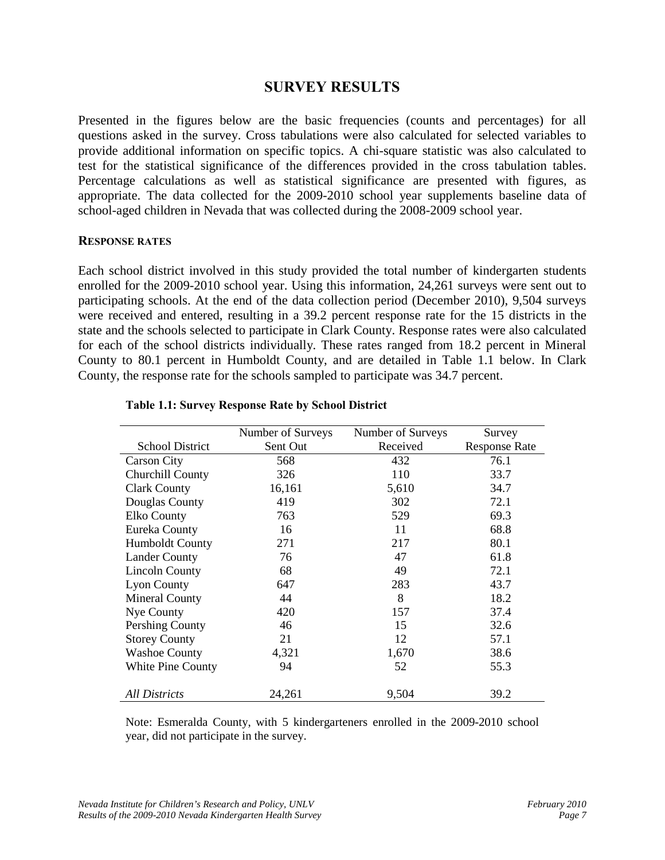#### **SURVEY RESULTS**

Presented in the figures below are the basic frequencies (counts and percentages) for all questions asked in the survey. Cross tabulations were also calculated for selected variables to provide additional information on specific topics. A chi-square statistic was also calculated to test for the statistical significance of the differences provided in the cross tabulation tables. Percentage calculations as well as statistical significance are presented with figures, as appropriate. The data collected for the 2009-2010 school year supplements baseline data of school-aged children in Nevada that was collected during the 2008-2009 school year.

#### **RESPONSE RATES**

Each school district involved in this study provided the total number of kindergarten students enrolled for the 2009-2010 school year. Using this information, 24,261 surveys were sent out to participating schools. At the end of the data collection period (December 2010), 9,504 surveys were received and entered, resulting in a 39.2 percent response rate for the 15 districts in the state and the schools selected to participate in Clark County. Response rates were also calculated for each of the school districts individually. These rates ranged from 18.2 percent in Mineral County to 80.1 percent in Humboldt County, and are detailed in Table 1.1 below. In Clark County, the response rate for the schools sampled to participate was 34.7 percent.

| Number of Surveys | Number of Surveys | Survey               |
|-------------------|-------------------|----------------------|
| Sent Out          | Received          | <b>Response Rate</b> |
| 568               | 432               | 76.1                 |
| 326               | 110               | 33.7                 |
| 16,161            | 5,610             | 34.7                 |
| 419               | 302               | 72.1                 |
| 763               | 529               | 69.3                 |
| 16                | 11                | 68.8                 |
| 271               | 217               | 80.1                 |
| 76                | 47                | 61.8                 |
| 68                | 49                | 72.1                 |
| 647               | 283               | 43.7                 |
| 44                | 8                 | 18.2                 |
| 420               | 157               | 37.4                 |
| 46                | 15                | 32.6                 |
| 21                | 12                | 57.1                 |
| 4,321             | 1,670             | 38.6                 |
| 94                | 52                | 55.3                 |
|                   |                   | 39.2                 |
|                   | 24,261            | 9,504                |

#### **Table 1.1: Survey Response Rate by School District**

Note: Esmeralda County, with 5 kindergarteners enrolled in the 2009-2010 school year, did not participate in the survey.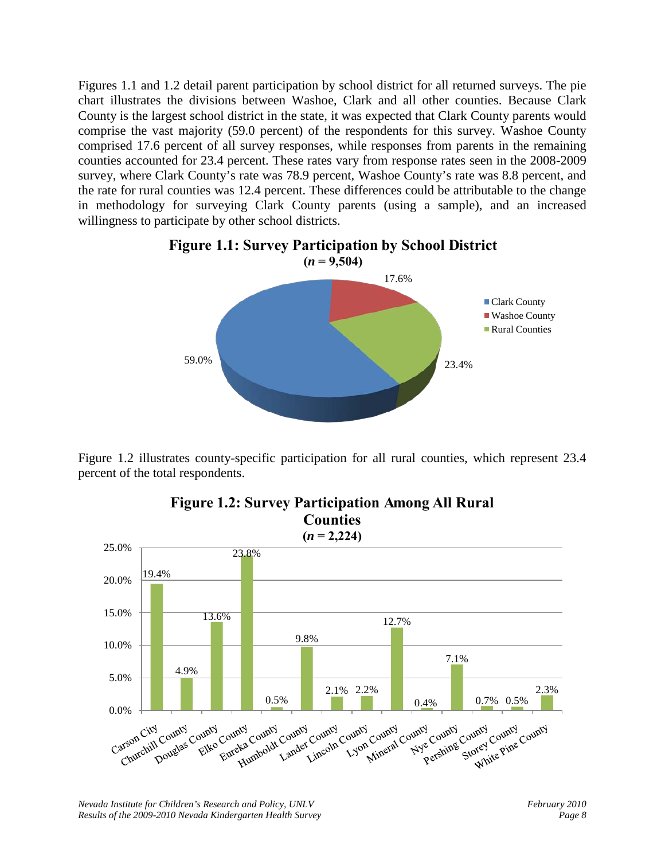Figures 1.1 and 1.2 detail parent participation by school district for all returned surveys. The pie chart illustrates the divisions between Washoe, Clark and all other counties. Because Clark County is the largest school district in the state, it was expected that Clark County parents would comprise the vast majority (59.0 percent) of the respondents for this survey. Washoe County comprised 17.6 percent of all survey responses, while responses from parents in the remaining counties accounted for 23.4 percent. These rates vary from response rates seen in the 2008-2009 survey, where Clark County's rate was 78.9 percent, Washoe County's rate was 8.8 percent, and the rate for rural counties was 12.4 percent. These differences could be attributable to the change in methodology for surveying Clark County parents (using a sample), and an increased willingness to participate by other school districts.



Figure 1.2 illustrates county-specific participation for all rural counties, which represent 23.4 percent of the total respondents.



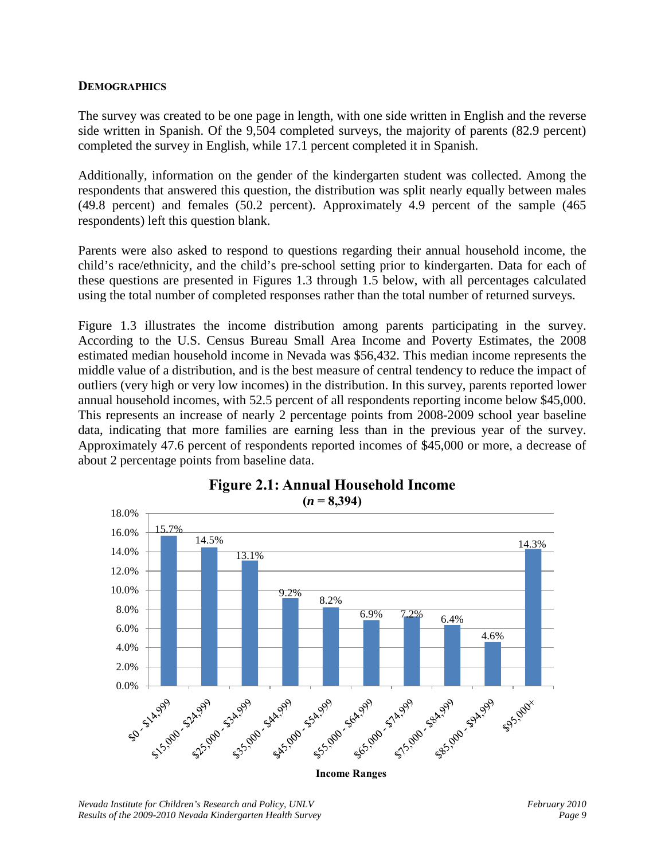#### **DEMOGRAPHICS**

The survey was created to be one page in length, with one side written in English and the reverse side written in Spanish. Of the 9,504 completed surveys, the majority of parents (82.9 percent) completed the survey in English, while 17.1 percent completed it in Spanish.

Additionally, information on the gender of the kindergarten student was collected. Among the respondents that answered this question, the distribution was split nearly equally between males (49.8 percent) and females (50.2 percent). Approximately 4.9 percent of the sample (465 respondents) left this question blank.

Parents were also asked to respond to questions regarding their annual household income, the child's race/ethnicity, and the child's pre-school setting prior to kindergarten. Data for each of these questions are presented in Figures 1.3 through 1.5 below, with all percentages calculated using the total number of completed responses rather than the total number of returned surveys.

Figure 1.3 illustrates the income distribution among parents participating in the survey. According to the U.S. Census Bureau Small Area Income and Poverty Estimates, the 2008 estimated median household income in Nevada was \$56,432. This median income represents the middle value of a distribution, and is the best measure of central tendency to reduce the impact of outliers (very high or very low incomes) in the distribution. In this survey, parents reported lower annual household incomes, with 52.5 percent of all respondents reporting income below \$45,000. This represents an increase of nearly 2 percentage points from 2008-2009 school year baseline data, indicating that more families are earning less than in the previous year of the survey. Approximately 47.6 percent of respondents reported incomes of \$45,000 or more, a decrease of about 2 percentage points from baseline data.



**Income Ranges**

## **Figure 2.1: Annual Household Income**

*Nevada Institute for Children's Research and Policy, UNLV* February 2010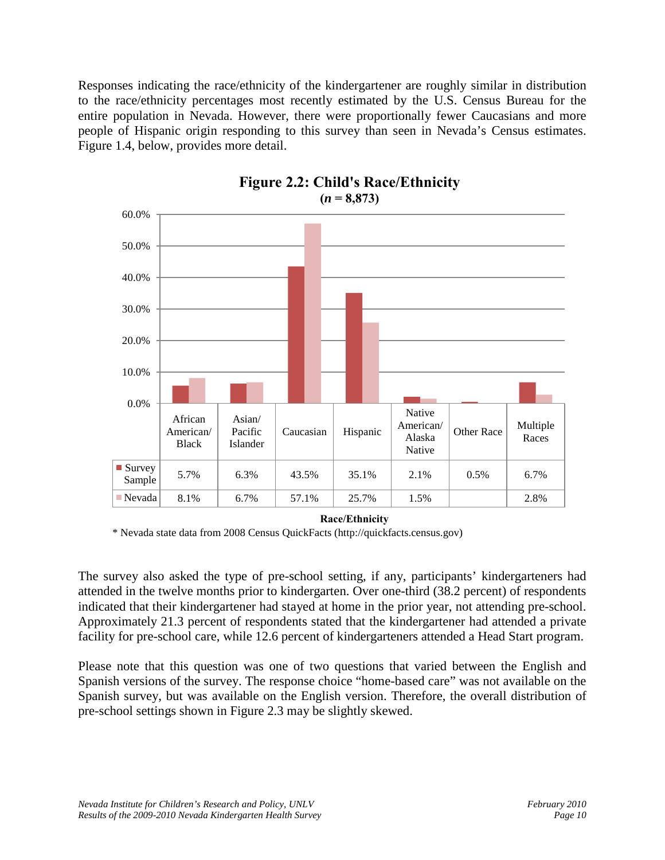Responses indicating the race/ethnicity of the kindergartener are roughly similar in distribution to the race/ethnicity percentages most recently estimated by the U.S. Census Bureau for the entire population in Nevada. However, there were proportionally fewer Caucasians and more people of Hispanic origin responding to this survey than seen in Nevada's Census estimates. Figure 1.4, below, provides more detail.



# **Figure 2.2: Child's Race/Ethnicity**

**Race/Ethnicity**

\* Nevada state data from 2008 Census QuickFacts (http://quickfacts.census.gov)

The survey also asked the type of pre-school setting, if any, participants' kindergarteners had attended in the twelve months prior to kindergarten. Over one-third (38.2 percent) of respondents indicated that their kindergartener had stayed at home in the prior year, not attending pre-school. Approximately 21.3 percent of respondents stated that the kindergartener had attended a private facility for pre-school care, while 12.6 percent of kindergarteners attended a Head Start program.

Please note that this question was one of two questions that varied between the English and Spanish versions of the survey. The response choice "home-based care" was not available on the Spanish survey, but was available on the English version. Therefore, the overall distribution of pre-school settings shown in Figure 2.3 may be slightly skewed.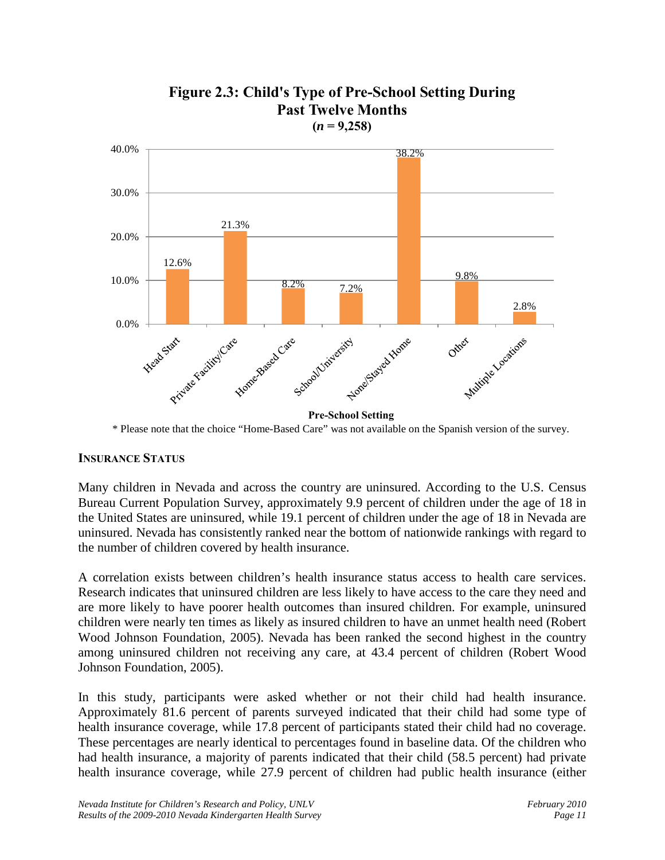

#### **Figure 2.3: Child's Type of Pre-School Setting During Past Twelve Months**  $(n = 9,258)$

\* Please note that the choice "Home-Based Care" was not available on the Spanish version of the survey.

#### **INSURANCE STATUS**

Many children in Nevada and across the country are uninsured. According to the U.S. Census Bureau Current Population Survey, approximately 9.9 percent of children under the age of 18 in the United States are uninsured, while 19.1 percent of children under the age of 18 in Nevada are uninsured. Nevada has consistently ranked near the bottom of nationwide rankings with regard to the number of children covered by health insurance.

A correlation exists between children's health insurance status access to health care services. Research indicates that uninsured children are less likely to have access to the care they need and are more likely to have poorer health outcomes than insured children. For example, uninsured children were nearly ten times as likely as insured children to have an unmet health need (Robert Wood Johnson Foundation, 2005). Nevada has been ranked the second highest in the country among uninsured children not receiving any care, at 43.4 percent of children (Robert Wood Johnson Foundation, 2005).

In this study, participants were asked whether or not their child had health insurance. Approximately 81.6 percent of parents surveyed indicated that their child had some type of health insurance coverage, while 17.8 percent of participants stated their child had no coverage. These percentages are nearly identical to percentages found in baseline data. Of the children who had health insurance, a majority of parents indicated that their child (58.5 percent) had private health insurance coverage, while 27.9 percent of children had public health insurance (either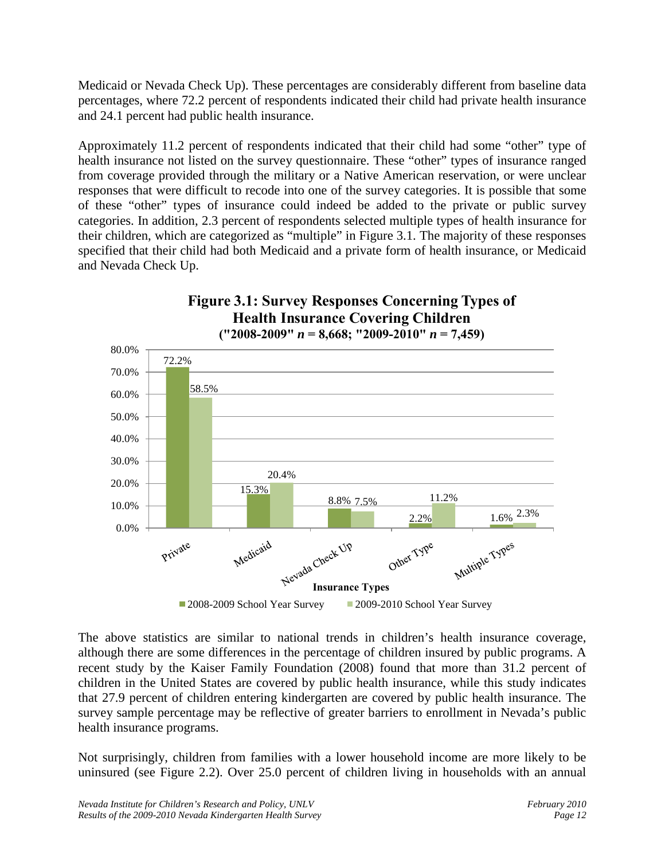Medicaid or Nevada Check Up). These percentages are considerably different from baseline data percentages, where 72.2 percent of respondents indicated their child had private health insurance and 24.1 percent had public health insurance.

Approximately 11.2 percent of respondents indicated that their child had some "other" type of health insurance not listed on the survey questionnaire. These "other" types of insurance ranged from coverage provided through the military or a Native American reservation, or were unclear responses that were difficult to recode into one of the survey categories. It is possible that some of these "other" types of insurance could indeed be added to the private or public survey categories. In addition, 2.3 percent of respondents selected multiple types of health insurance for their children, which are categorized as "multiple" in Figure 3.1. The majority of these responses specified that their child had both Medicaid and a private form of health insurance, or Medicaid and Nevada Check Up.



**Figure 3.1: Survey Responses Concerning Types of** 

The above statistics are similar to national trends in children's health insurance coverage, although there are some differences in the percentage of children insured by public programs. A recent study by the Kaiser Family Foundation (2008) found that more than 31.2 percent of children in the United States are covered by public health insurance, while this study indicates that 27.9 percent of children entering kindergarten are covered by public health insurance. The survey sample percentage may be reflective of greater barriers to enrollment in Nevada's public health insurance programs.

Not surprisingly, children from families with a lower household income are more likely to be uninsured (see Figure 2.2). Over 25.0 percent of children living in households with an annual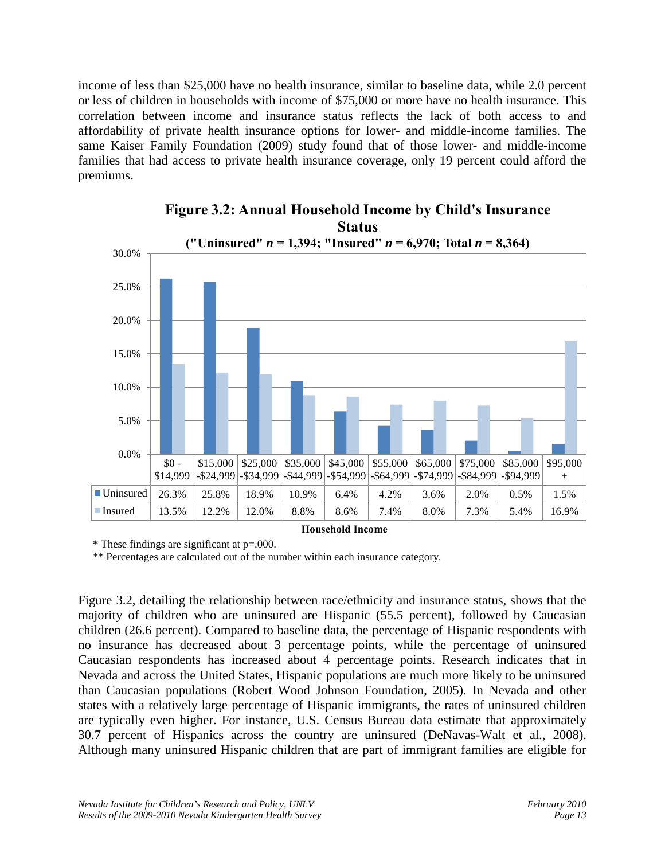income of less than \$25,000 have no health insurance, similar to baseline data, while 2.0 percent or less of children in households with income of \$75,000 or more have no health insurance. This correlation between income and insurance status reflects the lack of both access to and affordability of private health insurance options for lower- and middle-income families. The same Kaiser Family Foundation (2009) study found that of those lower- and middle-income families that had access to private health insurance coverage, only 19 percent could afford the premiums.



#### **Figure 3.2: Annual Household Income by Child's Insurance Status**

**Household Income**

\* These findings are significant at p=.000.

\*\* Percentages are calculated out of the number within each insurance category.

Figure 3.2, detailing the relationship between race/ethnicity and insurance status, shows that the majority of children who are uninsured are Hispanic (55.5 percent), followed by Caucasian children (26.6 percent). Compared to baseline data, the percentage of Hispanic respondents with no insurance has decreased about 3 percentage points, while the percentage of uninsured Caucasian respondents has increased about 4 percentage points. Research indicates that in Nevada and across the United States, Hispanic populations are much more likely to be uninsured than Caucasian populations (Robert Wood Johnson Foundation, 2005). In Nevada and other states with a relatively large percentage of Hispanic immigrants, the rates of uninsured children are typically even higher. For instance, U.S. Census Bureau data estimate that approximately 30.7 percent of Hispanics across the country are uninsured (DeNavas-Walt et al., 2008). Although many uninsured Hispanic children that are part of immigrant families are eligible for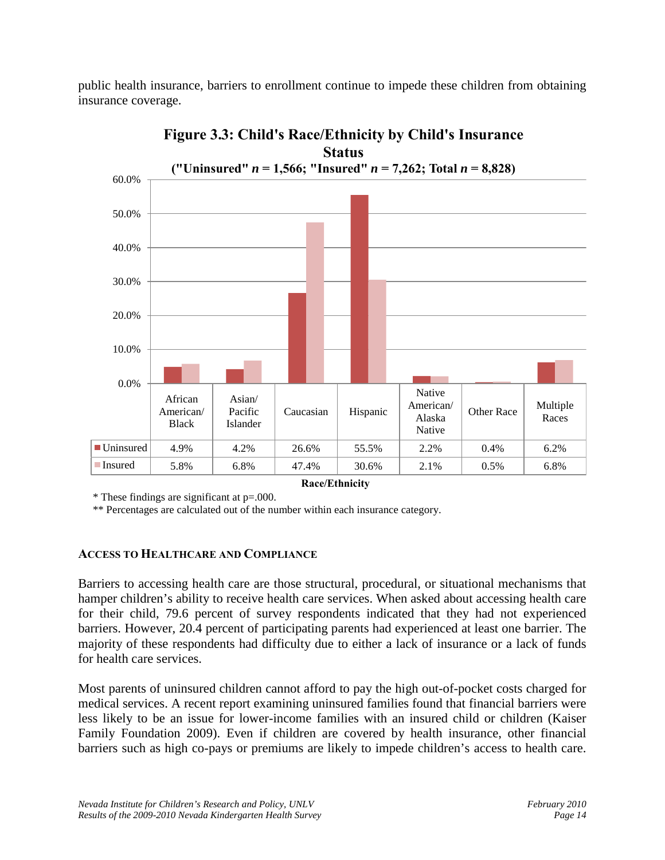public health insurance, barriers to enrollment continue to impede these children from obtaining insurance coverage.



**Figure 3.3: Child's Race/Ethnicity by Child's Insurance** 

\* These findings are significant at p=.000.

\*\* Percentages are calculated out of the number within each insurance category.

#### **ACCESS TO HEALTHCARE AND COMPLIANCE**

Barriers to accessing health care are those structural, procedural, or situational mechanisms that hamper children's ability to receive health care services. When asked about accessing health care for their child, 79.6 percent of survey respondents indicated that they had not experienced barriers. However, 20.4 percent of participating parents had experienced at least one barrier. The majority of these respondents had difficulty due to either a lack of insurance or a lack of funds for health care services.

Most parents of uninsured children cannot afford to pay the high out-of-pocket costs charged for medical services. A recent report examining uninsured families found that financial barriers were less likely to be an issue for lower-income families with an insured child or children (Kaiser Family Foundation 2009). Even if children are covered by health insurance, other financial barriers such as high co-pays or premiums are likely to impede children's access to health care.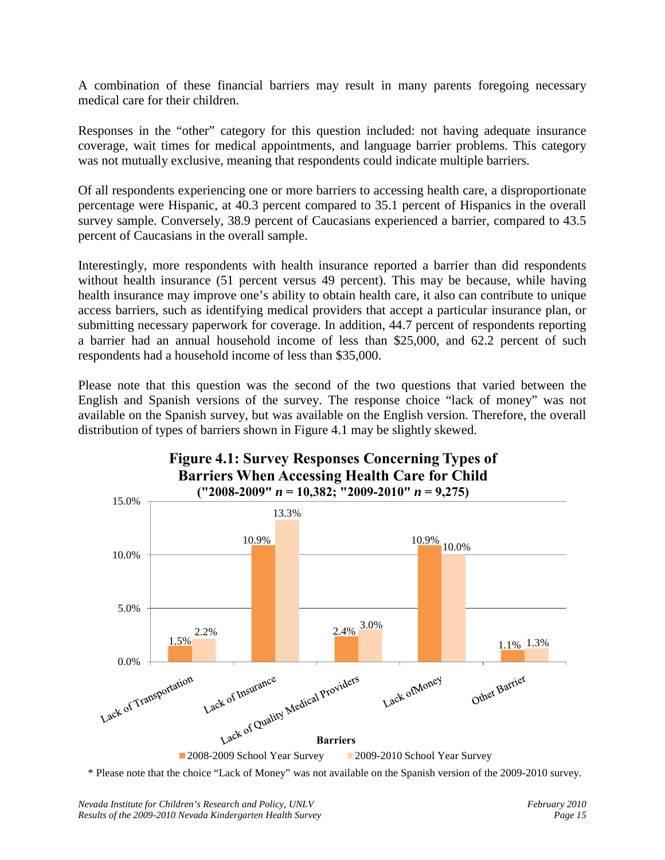A combination of these financial barriers may result in many parents foregoing necessary medical care for their children.

Responses in the "other" category for this question included: not having adequate insurance coverage, wait times for medical appointments, and language barrier problems. This category was not mutually exclusive, meaning that respondents could indicate multiple barriers.

Of all respondents experiencing one or more barriers to accessing health care, a disproportionate percentage were Hispanic, at 40.3 percent compared to 35.1 percent of Hispanics in the overall survey sample. Conversely, 38.9 percent of Caucasians experienced a barrier, compared to 43.5 percent of Caucasians in the overall sample.

Interestingly, more respondents with health insurance reported a barrier than did respondents without health insurance (51 percent versus 49 percent). This may be because, while having health insurance may improve one's ability to obtain health care, it also can contribute to unique access barriers, such as identifying medical providers that accept a particular insurance plan, or submitting necessary paperwork for coverage. In addition, 44.7 percent of respondents reporting a barrier had an annual household income of less than \$25,000, and 62.2 percent of such respondents had a household income of less than \$35,000.

Please note that this question was the second of the two questions that varied between the English and Spanish versions of the survey. The response choice "lack of money" was not available on the Spanish survey, but was available on the English version. Therefore, the overall distribution of types of barriers shown in Figure 4.1 may be slightly skewed.



# **Figure 4.1: Survey Responses Concerning Types of**

\* Please note that the choice "Lack of Money" was not available on the Spanish version of the 2009-2010 survey.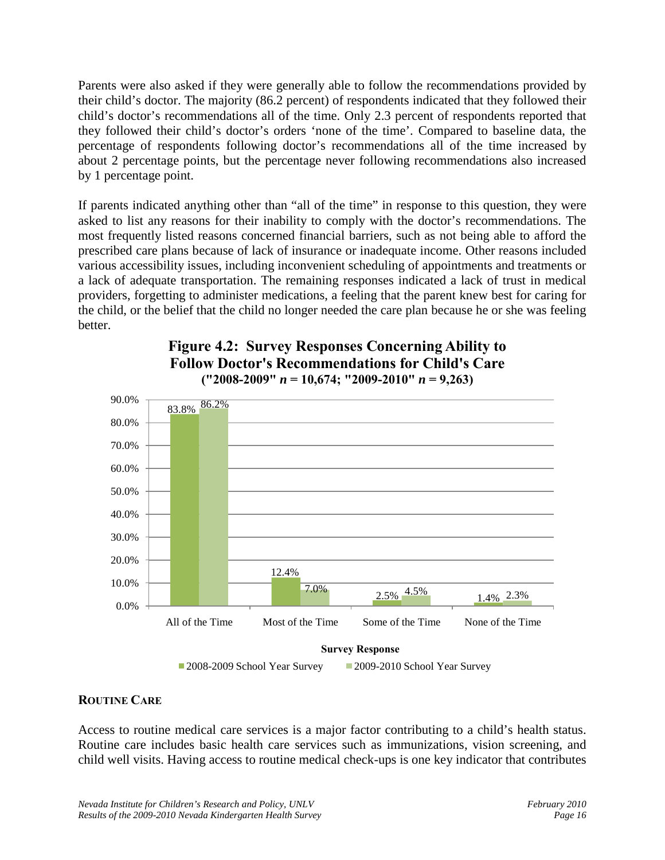Parents were also asked if they were generally able to follow the recommendations provided by their child's doctor. The majority (86.2 percent) of respondents indicated that they followed their child's doctor's recommendations all of the time. Only 2.3 percent of respondents reported that they followed their child's doctor's orders 'none of the time'. Compared to baseline data, the percentage of respondents following doctor's recommendations all of the time increased by about 2 percentage points, but the percentage never following recommendations also increased by 1 percentage point.

If parents indicated anything other than "all of the time" in response to this question, they were asked to list any reasons for their inability to comply with the doctor's recommendations. The most frequently listed reasons concerned financial barriers, such as not being able to afford the prescribed care plans because of lack of insurance or inadequate income. Other reasons included various accessibility issues, including inconvenient scheduling of appointments and treatments or a lack of adequate transportation. The remaining responses indicated a lack of trust in medical providers, forgetting to administer medications, a feeling that the parent knew best for caring for the child, or the belief that the child no longer needed the care plan because he or she was feeling better.



#### **Figure 4.2: Survey Responses Concerning Ability to Follow Doctor's Recommendations for Child's Care ("2008-2009"** *n* **= 10,674; "2009-2010"** *n* **= 9,263)**

#### **ROUTINE CARE**

Access to routine medical care services is a major factor contributing to a child's health status. Routine care includes basic health care services such as immunizations, vision screening, and child well visits. Having access to routine medical check-ups is one key indicator that contributes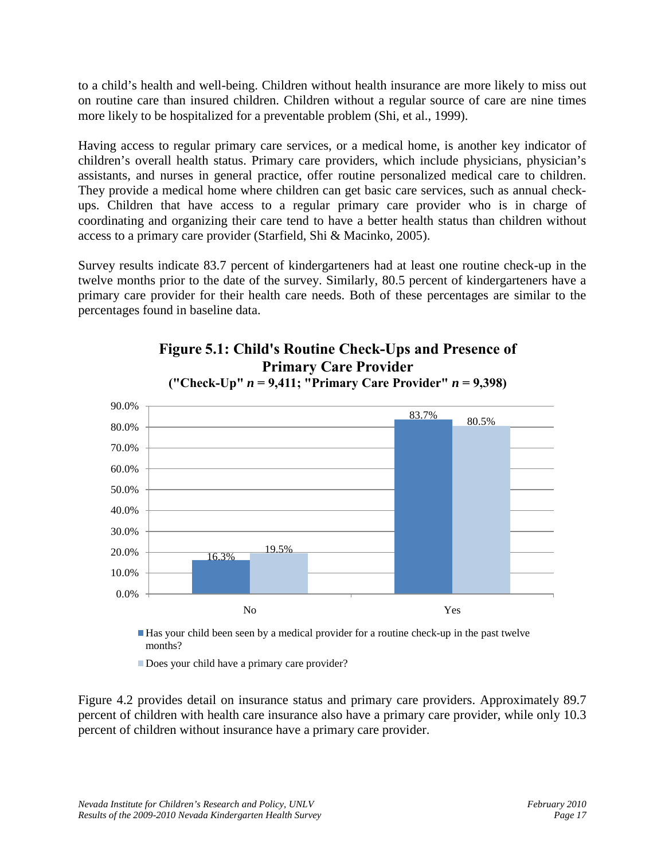to a child's health and well-being. Children without health insurance are more likely to miss out on routine care than insured children. Children without a regular source of care are nine times more likely to be hospitalized for a preventable problem (Shi, et al., 1999).

Having access to regular primary care services, or a medical home, is another key indicator of children's overall health status. Primary care providers, which include physicians, physician's assistants, and nurses in general practice, offer routine personalized medical care to children. They provide a medical home where children can get basic care services, such as annual checkups. Children that have access to a regular primary care provider who is in charge of coordinating and organizing their care tend to have a better health status than children without access to a primary care provider (Starfield, Shi & Macinko, 2005).

Survey results indicate 83.7 percent of kindergarteners had at least one routine check-up in the twelve months prior to the date of the survey. Similarly, 80.5 percent of kindergarteners have a primary care provider for their health care needs. Both of these percentages are similar to the percentages found in baseline data.





Has your child been seen by a medical provider for a routine check-up in the past twelve months?

Does your child have a primary care provider?

Figure 4.2 provides detail on insurance status and primary care providers. Approximately 89.7 percent of children with health care insurance also have a primary care provider, while only 10.3 percent of children without insurance have a primary care provider.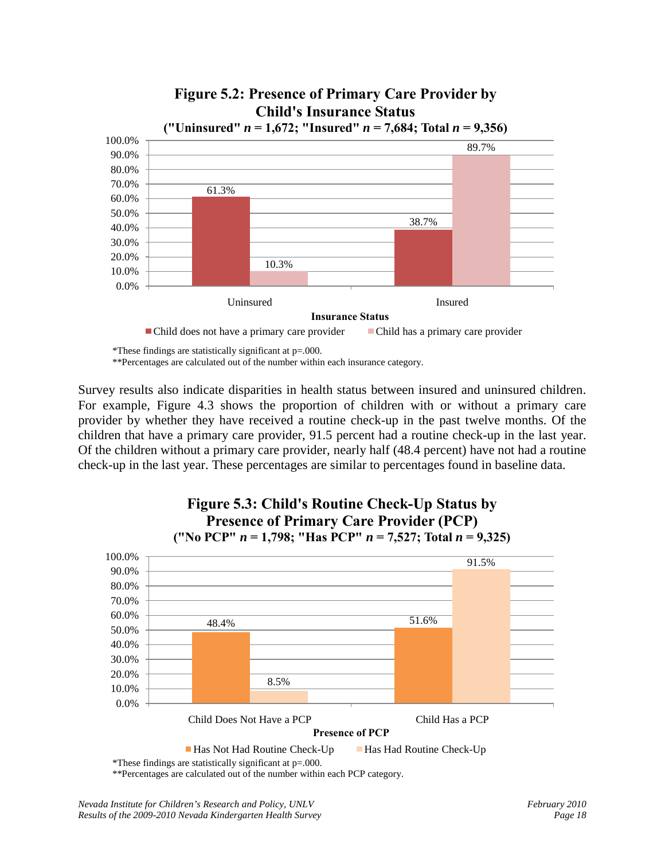

Survey results also indicate disparities in health status between insured and uninsured children. For example, Figure 4.3 shows the proportion of children with or without a primary care provider by whether they have received a routine check-up in the past twelve months. Of the children that have a primary care provider, 91.5 percent had a routine check-up in the last year. Of the children without a primary care provider, nearly half (48.4 percent) have not had a routine check-up in the last year. These percentages are similar to percentages found in baseline data.



\*\*Percentages are calculated out of the number within each PCP category.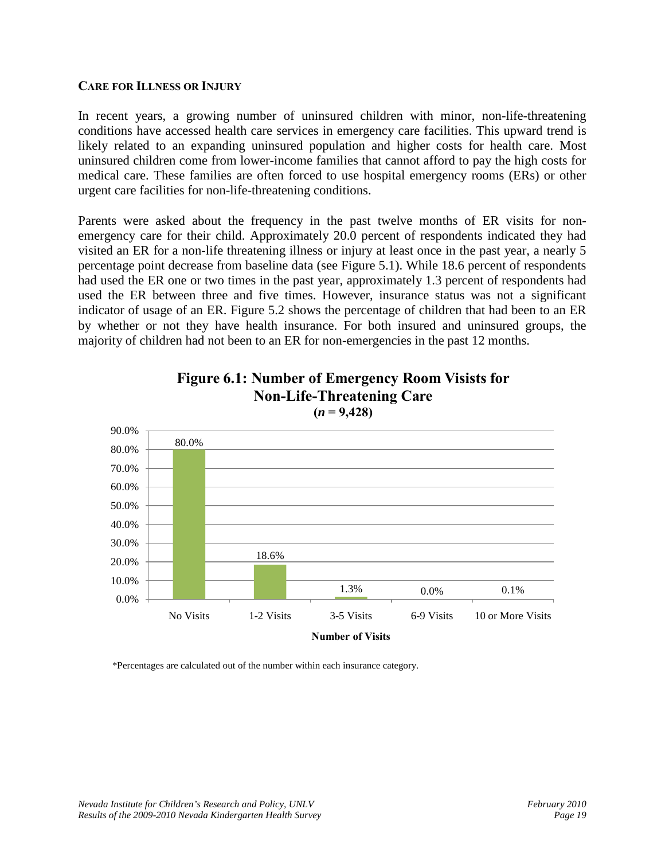#### **CARE FOR ILLNESS OR INJURY**

In recent years, a growing number of uninsured children with minor, non-life-threatening conditions have accessed health care services in emergency care facilities. This upward trend is likely related to an expanding uninsured population and higher costs for health care. Most uninsured children come from lower-income families that cannot afford to pay the high costs for medical care. These families are often forced to use hospital emergency rooms (ERs) or other urgent care facilities for non-life-threatening conditions.

Parents were asked about the frequency in the past twelve months of ER visits for nonemergency care for their child. Approximately 20.0 percent of respondents indicated they had visited an ER for a non-life threatening illness or injury at least once in the past year, a nearly 5 percentage point decrease from baseline data (see Figure 5.1). While 18.6 percent of respondents had used the ER one or two times in the past year, approximately 1.3 percent of respondents had used the ER between three and five times. However, insurance status was not a significant indicator of usage of an ER. Figure 5.2 shows the percentage of children that had been to an ER by whether or not they have health insurance. For both insured and uninsured groups, the majority of children had not been to an ER for non-emergencies in the past 12 months.



**Figure 6.1: Number of Emergency Room Visists for Non-Life-Threatening Care**

\*Percentages are calculated out of the number within each insurance category.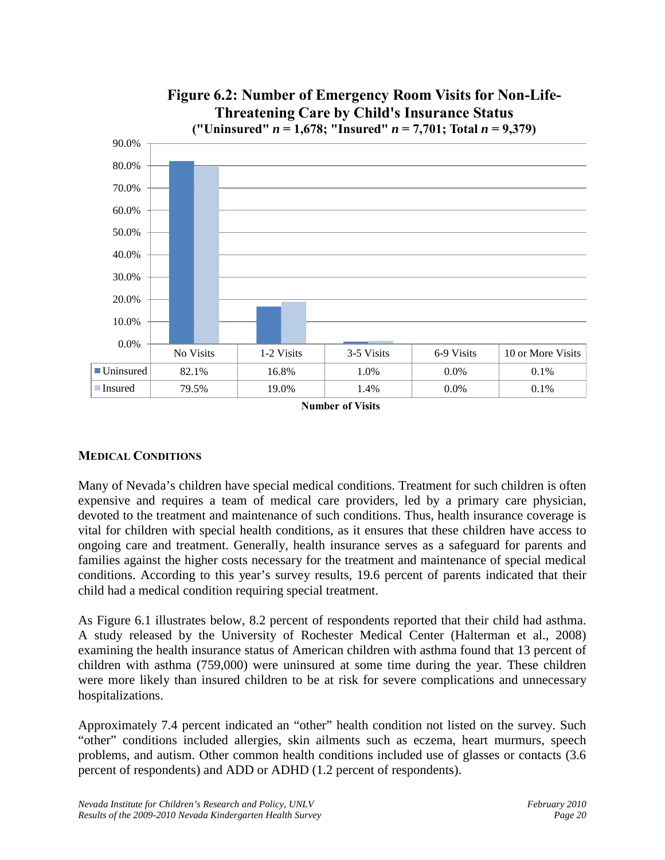

**Number of Visits**

#### **MEDICAL CONDITIONS**

Many of Nevada's children have special medical conditions. Treatment for such children is often expensive and requires a team of medical care providers, led by a primary care physician, devoted to the treatment and maintenance of such conditions. Thus, health insurance coverage is vital for children with special health conditions, as it ensures that these children have access to ongoing care and treatment. Generally, health insurance serves as a safeguard for parents and families against the higher costs necessary for the treatment and maintenance of special medical conditions. According to this year's survey results, 19.6 percent of parents indicated that their child had a medical condition requiring special treatment.

As Figure 6.1 illustrates below, 8.2 percent of respondents reported that their child had asthma. A study released by the University of Rochester Medical Center (Halterman et al., 2008) examining the health insurance status of American children with asthma found that 13 percent of children with asthma (759,000) were uninsured at some time during the year. These children were more likely than insured children to be at risk for severe complications and unnecessary hospitalizations.

Approximately 7.4 percent indicated an "other" health condition not listed on the survey. Such "other" conditions included allergies, skin ailments such as eczema, heart murmurs, speech problems, and autism. Other common health conditions included use of glasses or contacts (3.6 percent of respondents) and ADD or ADHD (1.2 percent of respondents).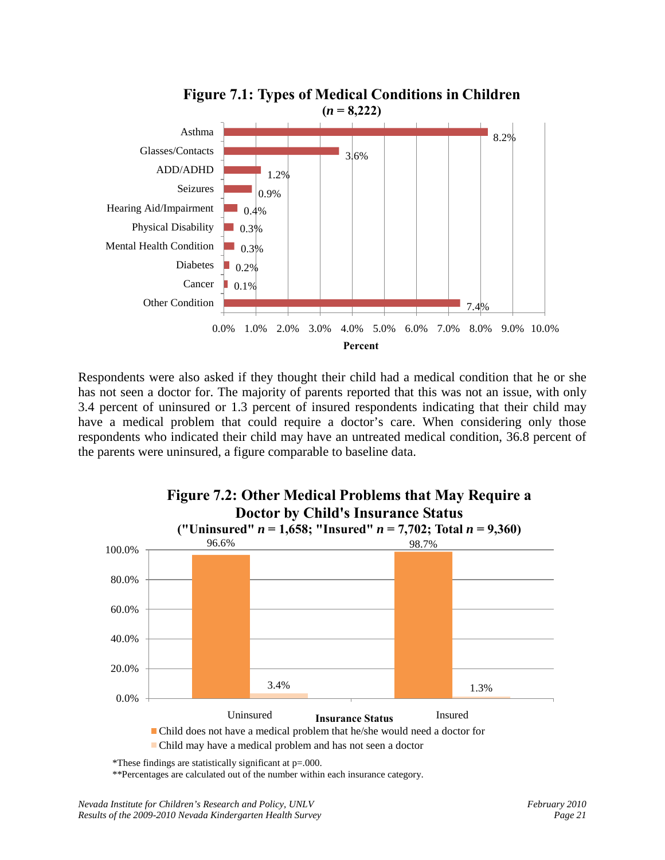

Respondents were also asked if they thought their child had a medical condition that he or she has not seen a doctor for. The majority of parents reported that this was not an issue, with only 3.4 percent of uninsured or 1.3 percent of insured respondents indicating that their child may have a medical problem that could require a doctor's care. When considering only those respondents who indicated their child may have an untreated medical condition, 36.8 percent of the parents were uninsured, a figure comparable to baseline data.



<sup>\*</sup>These findings are statistically significant at p=.000.

\*\*Percentages are calculated out of the number within each insurance category.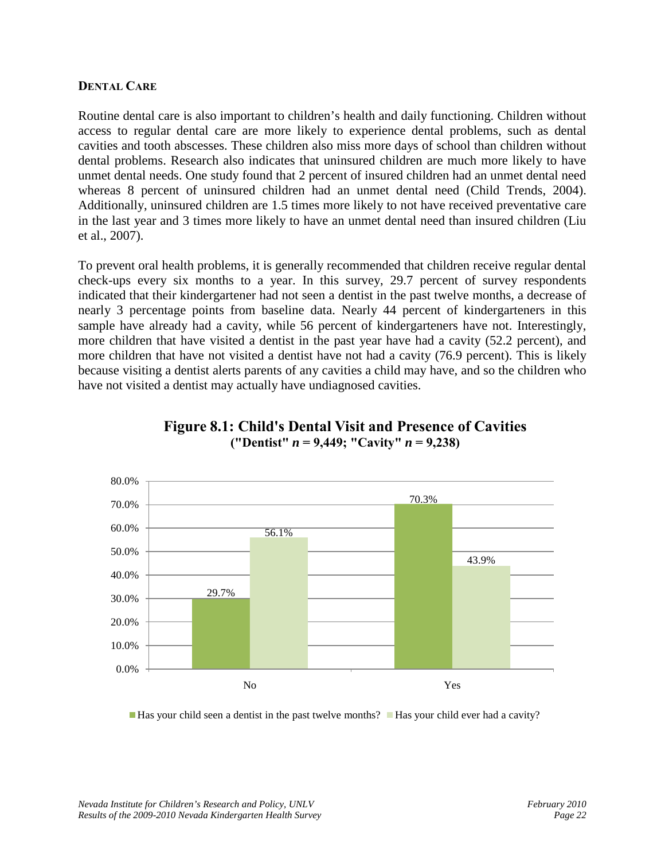#### **DENTAL CARE**

Routine dental care is also important to children's health and daily functioning. Children without access to regular dental care are more likely to experience dental problems, such as dental cavities and tooth abscesses. These children also miss more days of school than children without dental problems. Research also indicates that uninsured children are much more likely to have unmet dental needs. One study found that 2 percent of insured children had an unmet dental need whereas 8 percent of uninsured children had an unmet dental need (Child Trends, 2004). Additionally, uninsured children are 1.5 times more likely to not have received preventative care in the last year and 3 times more likely to have an unmet dental need than insured children (Liu et al., 2007).

To prevent oral health problems, it is generally recommended that children receive regular dental check-ups every six months to a year. In this survey, 29.7 percent of survey respondents indicated that their kindergartener had not seen a dentist in the past twelve months, a decrease of nearly 3 percentage points from baseline data. Nearly 44 percent of kindergarteners in this sample have already had a cavity, while 56 percent of kindergarteners have not. Interestingly, more children that have visited a dentist in the past year have had a cavity (52.2 percent), and more children that have not visited a dentist have not had a cavity (76.9 percent). This is likely because visiting a dentist alerts parents of any cavities a child may have, and so the children who have not visited a dentist may actually have undiagnosed cavities.



#### **Figure 8.1: Child's Dental Visit and Presence of Cavities ("Dentist"** *n* **= 9,449; "Cavity"** *n* **= 9,238)**

■Has your child seen a dentist in the past twelve months? ■Has your child ever had a cavity?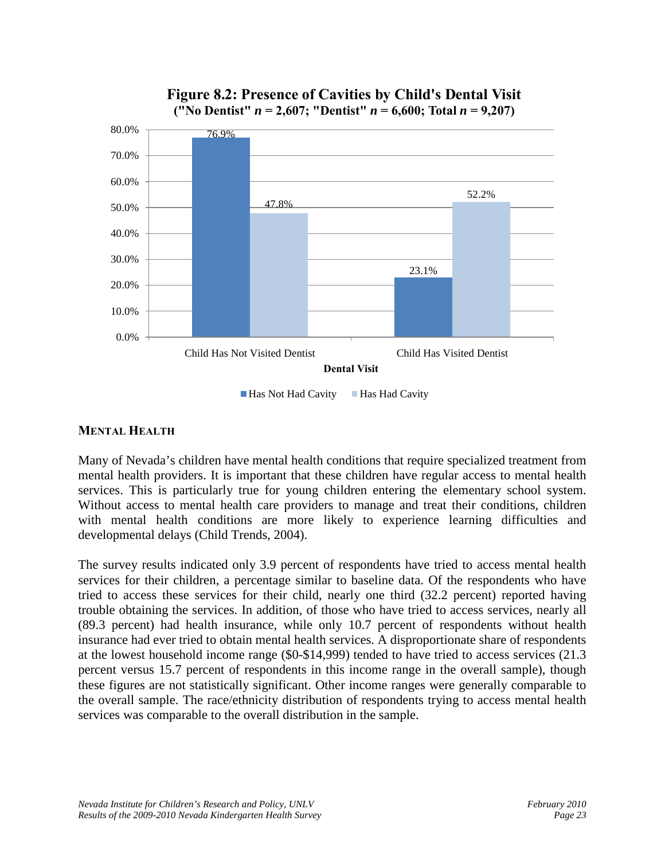

**Figure 8.2: Presence of Cavities by Child's Dental Visit ("No Dentist"** *n* **= 2,607; "Dentist"** *n* **= 6,600; Total** *n* **= 9,207)**

#### Has Not Had Cavity Has Had Cavity

#### **MENTAL HEALTH**

Many of Nevada's children have mental health conditions that require specialized treatment from mental health providers. It is important that these children have regular access to mental health services. This is particularly true for young children entering the elementary school system. Without access to mental health care providers to manage and treat their conditions, children with mental health conditions are more likely to experience learning difficulties and developmental delays (Child Trends, 2004).

The survey results indicated only 3.9 percent of respondents have tried to access mental health services for their children, a percentage similar to baseline data. Of the respondents who have tried to access these services for their child, nearly one third (32.2 percent) reported having trouble obtaining the services. In addition, of those who have tried to access services, nearly all (89.3 percent) had health insurance, while only 10.7 percent of respondents without health insurance had ever tried to obtain mental health services. A disproportionate share of respondents at the lowest household income range (\$0-\$14,999) tended to have tried to access services (21.3 percent versus 15.7 percent of respondents in this income range in the overall sample), though these figures are not statistically significant. Other income ranges were generally comparable to the overall sample. The race/ethnicity distribution of respondents trying to access mental health services was comparable to the overall distribution in the sample.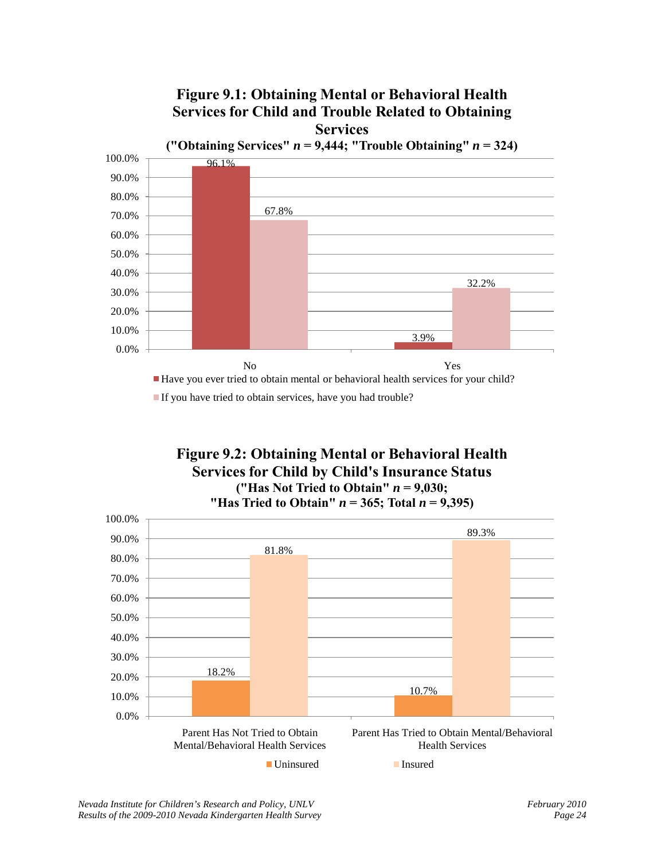

#### **Figure 9.2: Obtaining Mental or Behavioral Health Services for Child by Child's Insurance Status ("Has Not Tried to Obtain"**  $n = 9,030$ ; "Has Tried to Obtain"  $n = 365$ ; Total  $n = 9,395$ )

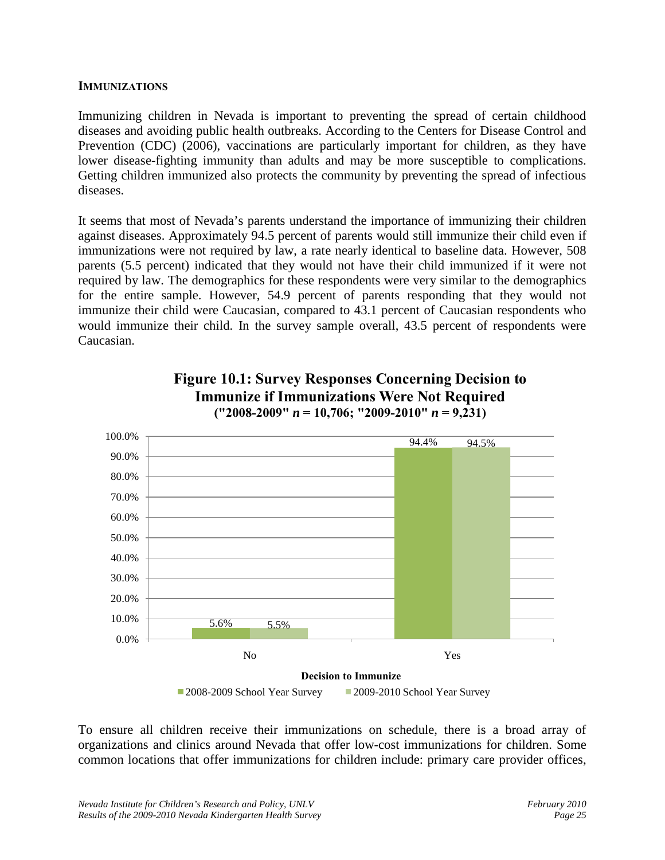#### **IMMUNIZATIONS**

Immunizing children in Nevada is important to preventing the spread of certain childhood diseases and avoiding public health outbreaks. According to the Centers for Disease Control and Prevention (CDC) (2006), vaccinations are particularly important for children, as they have lower disease-fighting immunity than adults and may be more susceptible to complications. Getting children immunized also protects the community by preventing the spread of infectious diseases.

It seems that most of Nevada's parents understand the importance of immunizing their children against diseases. Approximately 94.5 percent of parents would still immunize their child even if immunizations were not required by law, a rate nearly identical to baseline data. However, 508 parents (5.5 percent) indicated that they would not have their child immunized if it were not required by law. The demographics for these respondents were very similar to the demographics for the entire sample. However, 54.9 percent of parents responding that they would not immunize their child were Caucasian, compared to 43.1 percent of Caucasian respondents who would immunize their child. In the survey sample overall, 43.5 percent of respondents were Caucasian.



#### **Figure 10.1: Survey Responses Concerning Decision to Immunize if Immunizations Were Not Required ("2008-2009"** *n* **= 10,706; "2009-2010"** *n* **= 9,231)**

To ensure all children receive their immunizations on schedule, there is a broad array of organizations and clinics around Nevada that offer low-cost immunizations for children. Some common locations that offer immunizations for children include: primary care provider offices,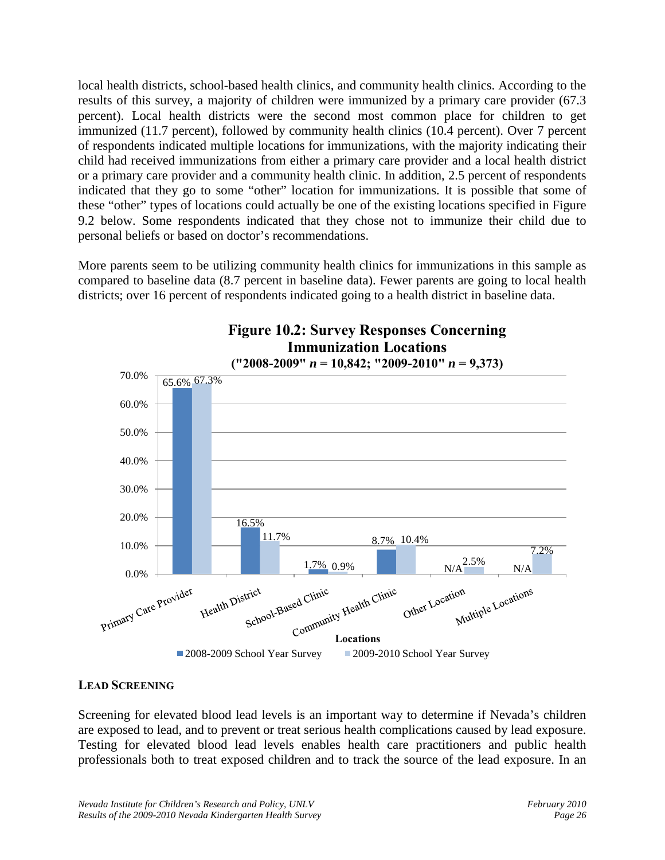local health districts, school-based health clinics, and community health clinics. According to the results of this survey, a majority of children were immunized by a primary care provider (67.3 percent). Local health districts were the second most common place for children to get immunized (11.7 percent), followed by community health clinics (10.4 percent). Over 7 percent of respondents indicated multiple locations for immunizations, with the majority indicating their child had received immunizations from either a primary care provider and a local health district or a primary care provider and a community health clinic. In addition, 2.5 percent of respondents indicated that they go to some "other" location for immunizations. It is possible that some of these "other" types of locations could actually be one of the existing locations specified in Figure 9.2 below. Some respondents indicated that they chose not to immunize their child due to personal beliefs or based on doctor's recommendations.

More parents seem to be utilizing community health clinics for immunizations in this sample as compared to baseline data (8.7 percent in baseline data). Fewer parents are going to local health districts; over 16 percent of respondents indicated going to a health district in baseline data.



# **Figure 10.2: Survey Responses Concerning**

#### **LEAD SCREENING**

Screening for elevated blood lead levels is an important way to determine if Nevada's children are exposed to lead, and to prevent or treat serious health complications caused by lead exposure. Testing for elevated blood lead levels enables health care practitioners and public health professionals both to treat exposed children and to track the source of the lead exposure. In an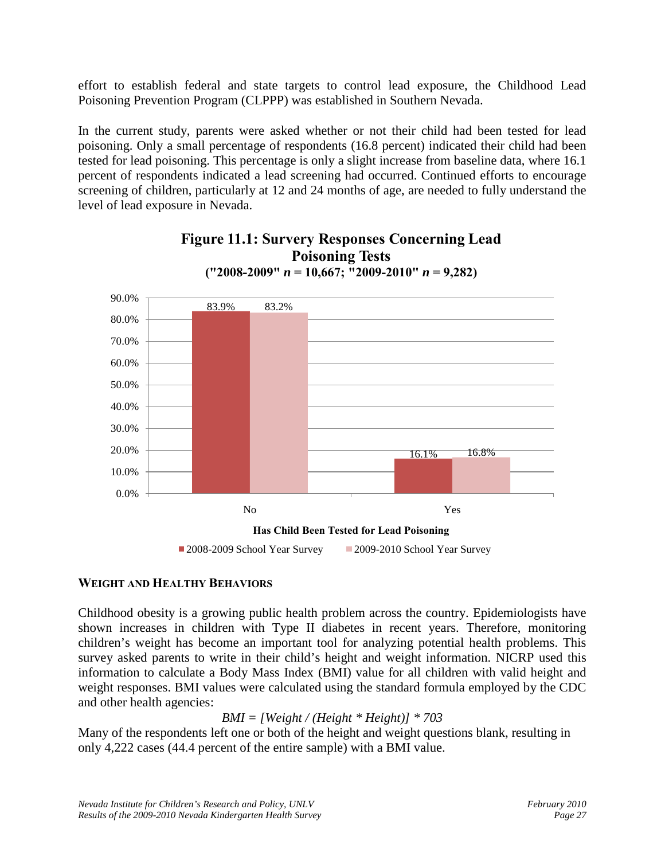effort to establish federal and state targets to control lead exposure, the Childhood Lead Poisoning Prevention Program (CLPPP) was established in Southern Nevada.

In the current study, parents were asked whether or not their child had been tested for lead poisoning. Only a small percentage of respondents (16.8 percent) indicated their child had been tested for lead poisoning. This percentage is only a slight increase from baseline data, where 16.1 percent of respondents indicated a lead screening had occurred. Continued efforts to encourage screening of children, particularly at 12 and 24 months of age, are needed to fully understand the level of lead exposure in Nevada.





#### **WEIGHT AND HEALTHY BEHAVIORS**

Childhood obesity is a growing public health problem across the country. Epidemiologists have shown increases in children with Type II diabetes in recent years. Therefore, monitoring children's weight has become an important tool for analyzing potential health problems. This survey asked parents to write in their child's height and weight information. NICRP used this information to calculate a Body Mass Index (BMI) value for all children with valid height and weight responses. BMI values were calculated using the standard formula employed by the CDC and other health agencies:

*BMI = [Weight / (Height \* Height)] \* 703* 

Many of the respondents left one or both of the height and weight questions blank, resulting in only 4,222 cases (44.4 percent of the entire sample) with a BMI value.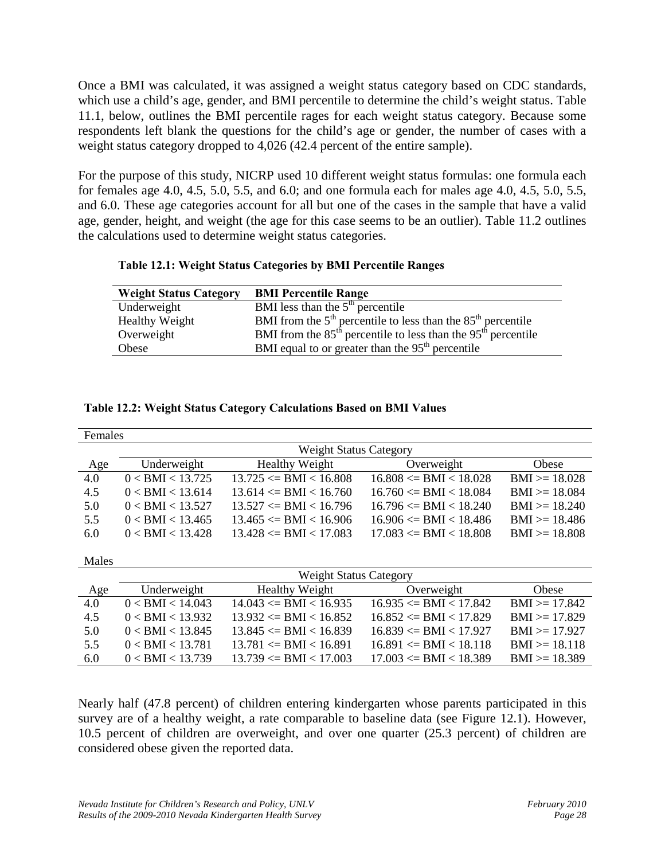Once a BMI was calculated, it was assigned a weight status category based on CDC standards, which use a child's age, gender, and BMI percentile to determine the child's weight status. Table 11.1, below, outlines the BMI percentile rages for each weight status category. Because some respondents left blank the questions for the child's age or gender, the number of cases with a weight status category dropped to 4,026 (42.4 percent of the entire sample).

For the purpose of this study, NICRP used 10 different weight status formulas: one formula each for females age 4.0, 4.5, 5.0, 5.5, and 6.0; and one formula each for males age 4.0, 4.5, 5.0, 5.5, and 6.0. These age categories account for all but one of the cases in the sample that have a valid age, gender, height, and weight (the age for this case seems to be an outlier). Table 11.2 outlines the calculations used to determine weight status categories.

|  |  | Table 12.1: Weight Status Categories by BMI Percentile Ranges |
|--|--|---------------------------------------------------------------|
|  |  |                                                               |

| <b>BMI Percentile Range</b>                                       |
|-------------------------------------------------------------------|
| BMI less than the $5th$ percentile                                |
| BMI from the $5th$ percentile to less than the $85th$ percentile  |
| BMI from the $85th$ percentile to less than the $95th$ percentile |
| BMI equal to or greater than the $95th$ percentile                |
|                                                                   |

|  | <b>Table 12.2: Weight Status Category Calculations Based on BMI Values</b> |
|--|----------------------------------------------------------------------------|
|--|----------------------------------------------------------------------------|

| Females |                               |                            |                            |                  |  |  |
|---------|-------------------------------|----------------------------|----------------------------|------------------|--|--|
|         | <b>Weight Status Category</b> |                            |                            |                  |  |  |
| Age     | Underweight                   | <b>Healthy Weight</b>      | Overweight                 | Obese            |  |  |
| 4.0     | 0 < BMI < 13.725              | $13.725 \leq BMI < 16.808$ | $16.808 \leq BMI < 18.028$ | $BMI > = 18.028$ |  |  |
| 4.5     | $0 <$ BMI $<$ 13.614          | $13.614 \leq BMI < 16.760$ | $16.760 \leq BMI < 18.084$ | $BMI > = 18.084$ |  |  |
| 5.0     | 0 < BMI < 13.527              | $13.527 \leq BMI < 16.796$ | $16.796 \leq BMI < 18.240$ | $BMI \ge 18.240$ |  |  |
| 5.5     | $0 <$ BMI $< 13.465$          | $13.465 \leq BMI < 16.906$ | $16.906 \leq BMI < 18.486$ | $BMI \ge 18.486$ |  |  |
| 6.0     | $0 <$ BMI $<$ 13.428          | $13.428 \leq BMI < 17.083$ | $17.083 \leq BMI < 18.808$ | $BMI \ge 18.808$ |  |  |
|         |                               |                            |                            |                  |  |  |
| Males   |                               |                            |                            |                  |  |  |
|         | <b>Weight Status Category</b> |                            |                            |                  |  |  |
| Age     | Underweight                   | <b>Healthy Weight</b>      | Overweight                 | Obese            |  |  |
| 4.0     | $0 <$ BMI $< 14.043$          | $14.043 \leq BMI < 16.935$ | $16.935 \leq BMI < 17.842$ | $BMI \ge 17.842$ |  |  |
| 4.5     | $0 <$ BMI $<$ 13.932          | $13.932 \leq BMI < 16.852$ | $16.852 \leq BMI < 17.829$ | $BMI \ge 17.829$ |  |  |
| 5.0     | $0 <$ BMI $<$ 13.845          | $13.845 \leq BMI < 16.839$ | $16.839 \leq BMI < 17.927$ | $BMI \ge 17.927$ |  |  |
| 5.5     | $0 <$ BMI $<$ 13.781          | $13.781 \leq BMI < 16.891$ | $16.891 \leq BMI < 18.118$ | $BMI \ge 18.118$ |  |  |
| 6.0     | $0 <$ BMI $<$ 13.739          | $13.739 \leq BMI < 17.003$ | $17.003 \leq BMI < 18.389$ | $BMI \ge 18.389$ |  |  |

Nearly half (47.8 percent) of children entering kindergarten whose parents participated in this survey are of a healthy weight, a rate comparable to baseline data (see Figure 12.1). However, 10.5 percent of children are overweight, and over one quarter (25.3 percent) of children are considered obese given the reported data.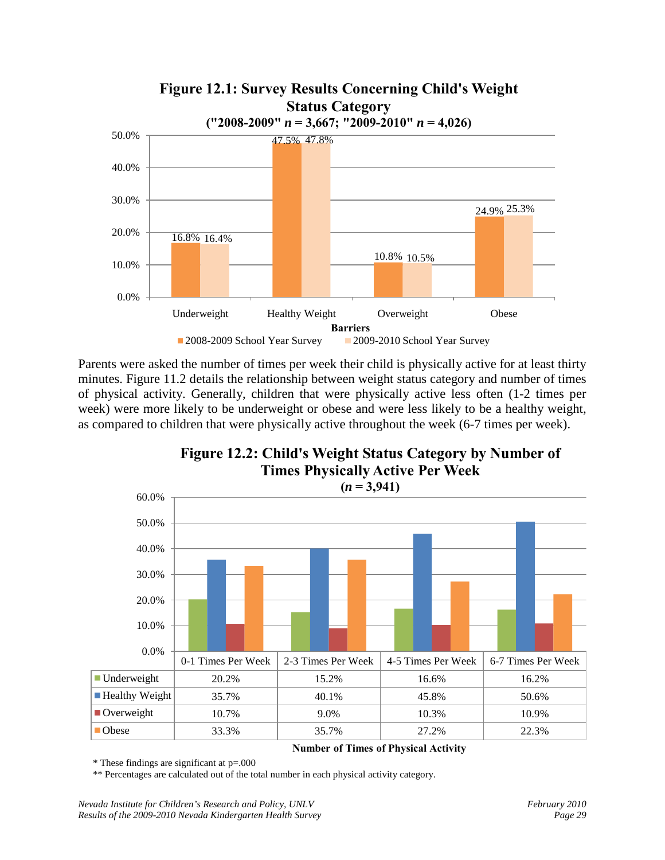

Parents were asked the number of times per week their child is physically active for at least thirty minutes. Figure 11.2 details the relationship between weight status category and number of times of physical activity. Generally, children that were physically active less often (1-2 times per week) were more likely to be underweight or obese and were less likely to be a healthy weight, as compared to children that were physically active throughout the week (6-7 times per week).

**Figure 12.2: Child's Weight Status Category by Number of Times Physically Active Per Week**



#### **Number of Times of Physical Activity**

\* These findings are significant at p=.000

\*\* Percentages are calculated out of the total number in each physical activity category.

*Nevada Institute for Children's Research and Policy, UNLV* February 2010<br>
Results of the 2009-2010 Nevada Kindergarten Health Survey February 2010 Page 29 *Results of the 2009-2010 Nevada Kindergarten Health Survey*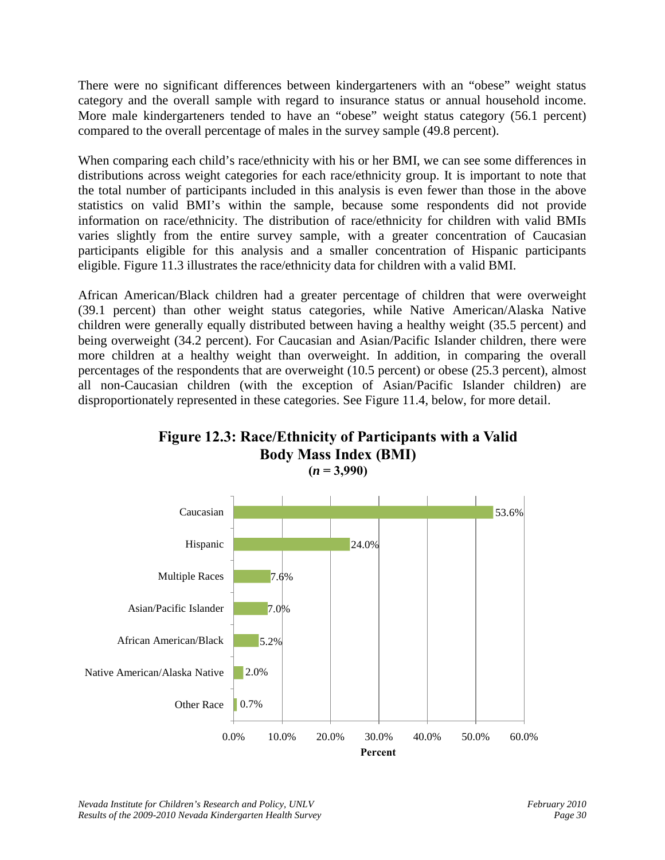There were no significant differences between kindergarteners with an "obese" weight status category and the overall sample with regard to insurance status or annual household income. More male kindergarteners tended to have an "obese" weight status category (56.1 percent) compared to the overall percentage of males in the survey sample (49.8 percent).

When comparing each child's race/ethnicity with his or her BMI, we can see some differences in distributions across weight categories for each race/ethnicity group. It is important to note that the total number of participants included in this analysis is even fewer than those in the above statistics on valid BMI's within the sample, because some respondents did not provide information on race/ethnicity. The distribution of race/ethnicity for children with valid BMIs varies slightly from the entire survey sample, with a greater concentration of Caucasian participants eligible for this analysis and a smaller concentration of Hispanic participants eligible. Figure 11.3 illustrates the race/ethnicity data for children with a valid BMI.

African American/Black children had a greater percentage of children that were overweight (39.1 percent) than other weight status categories, while Native American/Alaska Native children were generally equally distributed between having a healthy weight (35.5 percent) and being overweight (34.2 percent). For Caucasian and Asian/Pacific Islander children, there were more children at a healthy weight than overweight. In addition, in comparing the overall percentages of the respondents that are overweight (10.5 percent) or obese (25.3 percent), almost all non-Caucasian children (with the exception of Asian/Pacific Islander children) are disproportionately represented in these categories. See Figure 11.4, below, for more detail.





*Nevada Institute for Children's Research and Policy, UNLV* February 2010 *Results of the 2009-2010 Nevada Kindergarten Health Survey Page 30*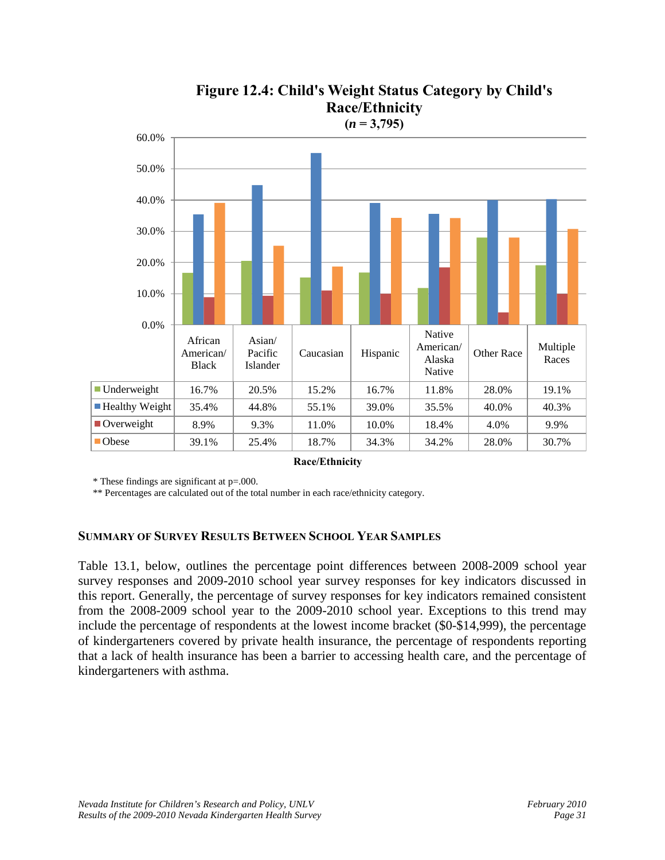

### **Figure 12.4: Child's Weight Status Category by Child's Race/Ethnicity**

**Race/Ethnicity**

\* These findings are significant at p=.000.

\*\* Percentages are calculated out of the total number in each race/ethnicity category.

#### **SUMMARY OF SURVEY RESULTS BETWEEN SCHOOL YEAR SAMPLES**

Table 13.1, below, outlines the percentage point differences between 2008-2009 school year survey responses and 2009-2010 school year survey responses for key indicators discussed in this report. Generally, the percentage of survey responses for key indicators remained consistent from the 2008-2009 school year to the 2009-2010 school year. Exceptions to this trend may include the percentage of respondents at the lowest income bracket (\$0-\$14,999), the percentage of kindergarteners covered by private health insurance, the percentage of respondents reporting that a lack of health insurance has been a barrier to accessing health care, and the percentage of kindergarteners with asthma.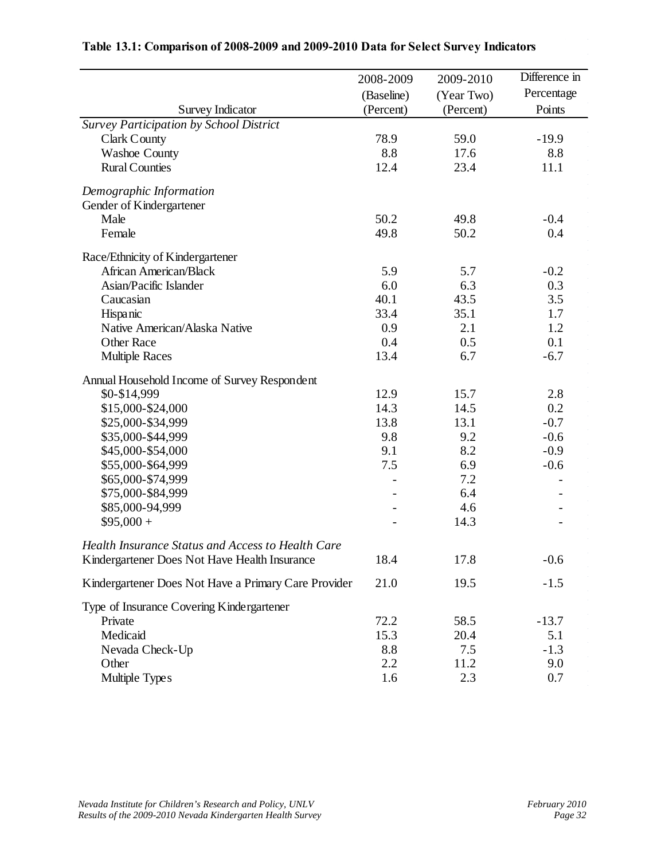|                                                      | 2008-2009  | 2009-2010  | Difference in |
|------------------------------------------------------|------------|------------|---------------|
|                                                      | (Baseline) | (Year Two) | Percentage    |
| <b>Survey Indicator</b>                              | (Percent)  | (Percent)  | Points        |
| Survey Participation by School District              |            |            |               |
| <b>Clark County</b>                                  | 78.9       | 59.0       | $-19.9$       |
| <b>Washoe County</b>                                 | 8.8        | 17.6       | 8.8           |
| <b>Rural Counties</b>                                | 12.4       | 23.4       | 11.1          |
| Demographic Information                              |            |            |               |
| Gender of Kindergartener                             |            |            |               |
| Male                                                 | 50.2       | 49.8       | $-0.4$        |
| Female                                               | 49.8       | 50.2       | 0.4           |
| Race/Ethnicity of Kindergartener                     |            |            |               |
| African American/Black                               | 5.9        | 5.7        | $-0.2$        |
| Asian/Pacific Islander                               | 6.0        | 6.3        | 0.3           |
| Caucasian                                            | 40.1       | 43.5       | 3.5           |
| Hispanic                                             | 33.4       | 35.1       | 1.7           |
| Native American/Alaska Native                        | 0.9        | 2.1        | 1.2           |
| <b>Other Race</b>                                    | 0.4        | 0.5        | 0.1           |
| <b>Multiple Races</b>                                | 13.4       | 6.7        | $-6.7$        |
| Annual Household Income of Survey Respondent         |            |            |               |
| \$0-\$14,999                                         | 12.9       | 15.7       | 2.8           |
| \$15,000-\$24,000                                    | 14.3       | 14.5       | 0.2           |
| \$25,000-\$34,999                                    | 13.8       | 13.1       | $-0.7$        |
| \$35,000-\$44,999                                    | 9.8        | 9.2        | $-0.6$        |
| \$45,000-\$54,000                                    | 9.1        | 8.2        | $-0.9$        |
| \$55,000-\$64,999                                    | 7.5        | 6.9        | $-0.6$        |
| \$65,000-\$74,999                                    |            | 7.2        |               |
| \$75,000-\$84,999                                    |            | 6.4        |               |
| \$85,000-94,999                                      |            | 4.6        |               |
| $$95,000 +$                                          |            | 14.3       |               |
| Health Insurance Status and Access to Health Care    |            |            |               |
| Kindergartener Does Not Have Health Insurance        | 18.4       | 17.8       | $-0.6$        |
| Kindergartener Does Not Have a Primary Care Provider | 21.0       | 19.5       | $-1.5$        |
| Type of Insurance Covering Kindergartener            |            |            |               |
| Private                                              | 72.2       | 58.5       | $-13.7$       |
| Medicaid                                             | 15.3       | 20.4       | 5.1           |
| Nevada Check-Up                                      | 8.8        | 7.5        | $-1.3$        |
| Other                                                | 2.2        | 11.2       | 9.0           |
| Multiple Types                                       | 1.6        | 2.3        | 0.7           |

#### **Table 13.1: Comparison of 2008-2009 and 2009-2010 Data for Select Survey Indicators**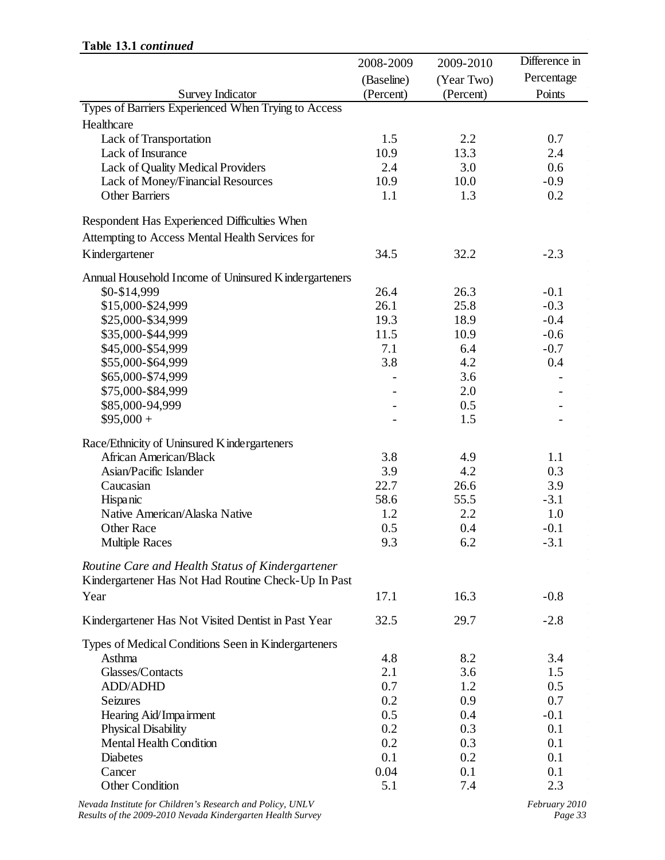|                                                       | 2008-2009  | 2009-2010  | Difference in |
|-------------------------------------------------------|------------|------------|---------------|
|                                                       | (Baseline) | (Year Two) | Percentage    |
| <b>Survey Indicator</b>                               | (Percent)  | (Percent)  | Points        |
| Types of Barriers Experienced When Trying to Access   |            |            |               |
| Healthcare                                            |            |            |               |
| Lack of Transportation                                | 1.5        | 2.2        | 0.7           |
| Lack of Insurance                                     | 10.9       | 13.3       | 2.4           |
| Lack of Quality Medical Providers                     | 2.4        | 3.0        | 0.6           |
| Lack of Money/Financial Resources                     | 10.9       | 10.0       | $-0.9$        |
| <b>Other Barriers</b>                                 | 1.1        | 1.3        | 0.2           |
| Respondent Has Experienced Difficulties When          |            |            |               |
| Attempting to Access Mental Health Services for       |            |            |               |
|                                                       |            |            |               |
| Kindergartener                                        | 34.5       | 32.2       | $-2.3$        |
| Annual Household Income of Uninsured K indergarteners |            |            |               |
| \$0-\$14,999                                          | 26.4       | 26.3       | $-0.1$        |
| \$15,000-\$24,999                                     | 26.1       | 25.8       | $-0.3$        |
| \$25,000-\$34,999                                     | 19.3       | 18.9       | $-0.4$        |
| \$35,000-\$44,999                                     | 11.5       | 10.9       | $-0.6$        |
| \$45,000-\$54,999                                     | 7.1        | 6.4        | $-0.7$        |
| \$55,000-\$64,999                                     | 3.8        | 4.2        | 0.4           |
| \$65,000-\$74,999                                     |            | 3.6        |               |
| \$75,000-\$84,999                                     |            | 2.0        |               |
| \$85,000-94,999                                       |            | 0.5        |               |
| $$95,000 +$                                           |            | 1.5        |               |
| Race/Ethnicity of Uninsured Kindergarteners           |            |            |               |
| African American/Black                                | 3.8        | 4.9        | 1.1           |
| Asian/Pacific Islander                                | 3.9        | 4.2        | 0.3           |
| Caucasian                                             | 22.7       | 26.6       | 3.9           |
| Hispanic                                              | 58.6       | 55.5       | $-3.1$        |
| Native American/Alaska Native                         | 1.2        | 2.2        | 1.0           |
| <b>Other Race</b>                                     | 0.5        | 0.4        | $-0.1$        |
| <b>Multiple Races</b>                                 | 9.3        | 6.2        | $-3.1$        |
| Routine Care and Health Status of Kindergartener      |            |            |               |
| Kindergartener Has Not Had Routine Check-Up In Past   |            |            |               |
| Year                                                  | 17.1       | 16.3       | $-0.8$        |
|                                                       |            |            |               |
| Kindergartener Has Not Visited Dentist in Past Year   | 32.5       | 29.7       | $-2.8$        |
| Types of Medical Conditions Seen in Kindergarteners   |            |            |               |
| Asthma                                                | 4.8        | 8.2        | 3.4           |
| Glasses/Contacts                                      | 2.1        | 3.6        | 1.5           |
| <b>ADD/ADHD</b>                                       | 0.7        | 1.2        | 0.5           |
| <b>Seizures</b>                                       | 0.2        | 0.9        | 0.7           |
| Hearing Aid/Impairment                                | 0.5        | 0.4        | $-0.1$        |
| <b>Physical Disability</b>                            | 0.2        | 0.3        | 0.1           |
| <b>Mental Health Condition</b>                        | 0.2        | 0.3        | 0.1           |
| <b>Diabetes</b>                                       | 0.1        | 0.2        | 0.1           |
| Cancer                                                | 0.04       | 0.1        | 0.1           |
| <b>Other Condition</b>                                | 5.1        | 7.4        | 2.3           |
|                                                       |            |            |               |

#### **Table 13.1** *continued*

*Nevada Institute for Children's Research and Policy, UNLV*<br>*Results of the 2009-2010 Nevada Kindergarten Health Survey February 2010 Results of the 2009-2010 Nevada Kindergarten Health Survey*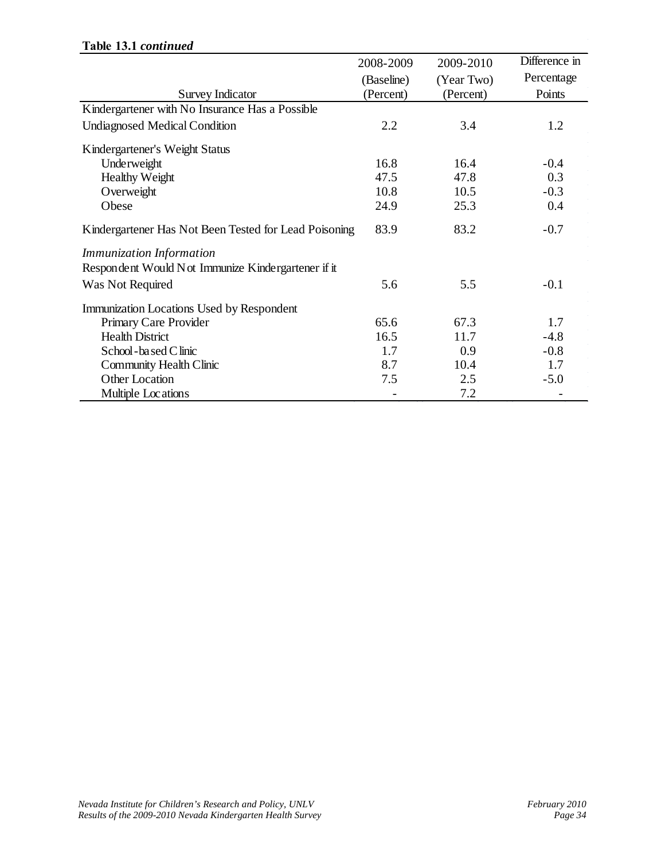#### **Table 13.1** *continued*

|                                                       | 2008-2009  | 2009-2010  | Difference in |
|-------------------------------------------------------|------------|------------|---------------|
|                                                       | (Baseline) | (Year Two) | Percentage    |
| <b>Survey Indicator</b>                               | (Percent)  | (Percent)  | Points        |
| Kindergartener with No Insurance Has a Possible       |            |            |               |
| <b>Undiagnosed Medical Condition</b>                  | 2.2        | 3.4        | 1.2           |
| Kindergartener's Weight Status                        |            |            |               |
| Underweight                                           | 16.8       | 16.4       | $-0.4$        |
| <b>Healthy Weight</b>                                 | 47.5       | 47.8       | 0.3           |
| Overweight                                            | 10.8       | 10.5       | $-0.3$        |
| Obese                                                 | 24.9       | 25.3       | 0.4           |
| Kindergartener Has Not Been Tested for Lead Poisoning | 83.9       | 83.2       | $-0.7$        |
| <b>Immunization Information</b>                       |            |            |               |
| Respondent Would Not Immunize Kindergartener if it    |            |            |               |
| Was Not Required                                      | 5.6        | 5.5        | $-0.1$        |
| Immunization Locations Used by Respondent             |            |            |               |
| Primary Care Provider                                 | 65.6       | 67.3       | 1.7           |
| <b>Health District</b>                                | 16.5       | 11.7       | $-4.8$        |
| School - based C linic                                | 1.7        | 0.9        | $-0.8$        |
| <b>Community Health Clinic</b>                        | 8.7        | 10.4       | 1.7           |
| <b>Other Location</b>                                 | 7.5        | 2.5        | $-5.0$        |
| Multiple Locations                                    |            | 7.2        |               |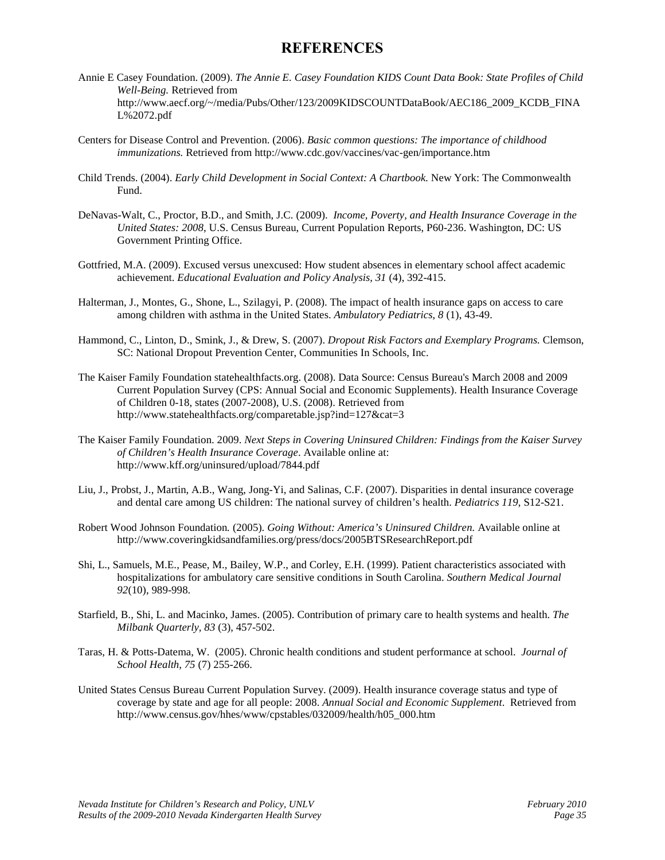#### **REFERENCES**

- Annie E Casey Foundation. (2009). *The Annie E. Casey Foundation KIDS Count Data Book: State Profiles of Child Well-Being.* Retrieved from http://www.aecf.org/~/media/Pubs/Other/123/2009KIDSCOUNTDataBook/AEC186\_2009\_KCDB\_FINA L%2072.pdf
- Centers for Disease Control and Prevention. (2006). *Basic common questions: The importance of childhood immunizations.* Retrieved from http://www.cdc.gov/vaccines/vac-gen/importance.htm
- Child Trends. (2004). *Early Child Development in Social Context: A Chartbook.* New York: The Commonwealth Fund.
- DeNavas-Walt, C., Proctor, B.D., and Smith, J.C. (2009). *Income, Poverty, and Health Insurance Coverage in the United States: 2008*, U.S. Census Bureau, Current Population Reports, P60-236. Washington, DC: US Government Printing Office.
- Gottfried, M.A. (2009). Excused versus unexcused: How student absences in elementary school affect academic achievement. *Educational Evaluation and Policy Analysis, 31* (4), 392-415.
- Halterman, J., Montes, G., Shone, L., Szilagyi, P. (2008). The impact of health insurance gaps on access to care among children with asthma in the United States. *Ambulatory Pediatrics*, *8* (1), 43-49.
- Hammond, C., Linton, D., Smink, J., & Drew, S. (2007). *Dropout Risk Factors and Exemplary Programs.* Clemson, SC: National Dropout Prevention Center, Communities In Schools, Inc.
- The Kaiser Family Foundation statehealthfacts.org. (2008). Data Source: Census Bureau's March 2008 and 2009 Current Population Survey (CPS: Annual Social and Economic Supplements). Health Insurance Coverage of Children 0-18, states (2007-2008), U.S. (2008). Retrieved from http://www.statehealthfacts.org/comparetable.jsp?ind=127&cat=3
- The Kaiser Family Foundation. 2009. *Next Steps in Covering Uninsured Children: Findings from the Kaiser Survey of Children's Health Insurance Coverage*. Available online at: http://www.kff.org/uninsured/upload/7844.pdf
- Liu, J., Probst, J., Martin, A.B., Wang, Jong-Yi, and Salinas, C.F. (2007). Disparities in dental insurance coverage and dental care among US children: The national survey of children's health. *Pediatrics 119*, S12-S21.
- Robert Wood Johnson Foundation*.* (2005). *Going Without: America's Uninsured Children.* Available online at http://www.coveringkidsandfamilies.org/press/docs/2005BTSResearchReport.pdf
- Shi, L., Samuels, M.E., Pease, M., Bailey, W.P., and Corley, E.H. (1999). Patient characteristics associated with hospitalizations for ambulatory care sensitive conditions in South Carolina. *Southern Medical Journal 92*(10), 989-998.
- Starfield, B., Shi, L. and Macinko, James. (2005). Contribution of primary care to health systems and health. *The Milbank Quarterly, 83* (3), 457-502.
- Taras, H. & Potts-Datema, W. (2005). Chronic health conditions and student performance at school. *Journal of School Health, 75* (7) 255-266.
- United States Census Bureau Current Population Survey. (2009). Health insurance coverage status and type of coverage by state and age for all people: 2008. *Annual Social and Economic Supplement*. Retrieved from http://www.census.gov/hhes/www/cpstables/032009/health/h05\_000.htm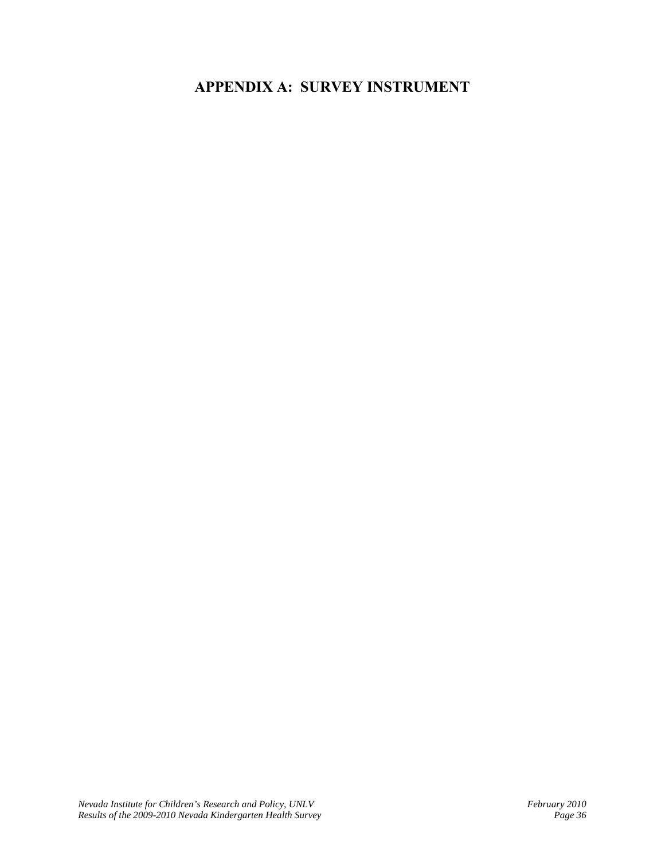### **APPENDIX A: SURVEY INSTRUMENT**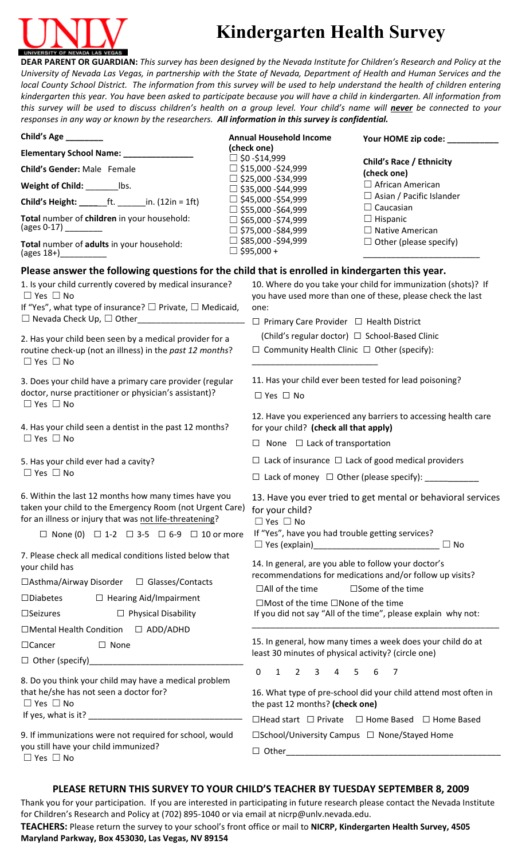

## **Kindergarten Health Survey**

DEAR PARENT OR GUARDIAN: This survey has been designed by the Nevada Institute for Children's Research and Policy at the University of Nevada Las Vegas, in partnership with the State of Nevada, Department of Health and Human Services and the local County School District. The information from this survey will be used to help understand the health of children entering kindergarten this year. You have been asked to participate because you will have a child in kindergarten. All information from this survey will be used to discuss children's health on a group level. Your child's name will never be connected to your *responses in any way or known by the researchers. All information in this survey is confidential.*

| Child's Age ________                                                                                                                                                                                                                              |  | <b>Annual Household Income</b>                                                                                   | Your HOME zip code: __________                                                                                               |  |
|---------------------------------------------------------------------------------------------------------------------------------------------------------------------------------------------------------------------------------------------------|--|------------------------------------------------------------------------------------------------------------------|------------------------------------------------------------------------------------------------------------------------------|--|
| Elementary School Name: _______________                                                                                                                                                                                                           |  | (check one)<br>$\Box$ \$0 -\$14,999                                                                              |                                                                                                                              |  |
| Child's Gender: Male Female                                                                                                                                                                                                                       |  | $\Box$ \$15,000 -\$24,999                                                                                        | <b>Child's Race / Ethnicity</b><br>(check one)                                                                               |  |
| Weight of Child: __________ lbs.                                                                                                                                                                                                                  |  | $\Box$ \$25,000 -\$34,999<br>$\Box$ \$35,000 -\$44,999                                                           | $\Box$ African American                                                                                                      |  |
| <b>Child's Height:</b> ________ft. ________in. (12in = 1ft)                                                                                                                                                                                       |  | $\Box$ \$45,000 -\$54,999                                                                                        | $\Box$ Asian / Pacific Islander<br>$\Box$ Caucasian                                                                          |  |
| Total number of children in your household:<br>(ages 0-17) _________                                                                                                                                                                              |  | $\Box$ \$55,000 -\$64,999<br>$\Box$ \$65,000 -\$74,999<br>$\Box$ \$75,000 -\$84,999                              | $\Box$ Hispanic<br>$\Box$ Native American                                                                                    |  |
| Total number of adults in your household:                                                                                                                                                                                                         |  | $\Box$ \$85,000 -\$94,999<br>$\Box$ \$95,000 +                                                                   | $\Box$ Other (please specify)                                                                                                |  |
| Please answer the following questions for the child that is enrolled in kindergarten this year.                                                                                                                                                   |  |                                                                                                                  |                                                                                                                              |  |
| 1. Is your child currently covered by medical insurance?<br>$\Box$ Yes $\Box$ No<br>If "Yes", what type of insurance? $\square$ Private, $\square$ Medicaid,                                                                                      |  | one:                                                                                                             | 10. Where do you take your child for immunization (shots)? If<br>you have used more than one of these, please check the last |  |
|                                                                                                                                                                                                                                                   |  | $\Box$ Primary Care Provider $\Box$ Health District                                                              |                                                                                                                              |  |
|                                                                                                                                                                                                                                                   |  | (Child's regular doctor) □ School-Based Clinic                                                                   |                                                                                                                              |  |
| 2. Has your child been seen by a medical provider for a<br>routine check-up (not an illness) in the past 12 months?<br>$\Box$ Yes $\Box$ No                                                                                                       |  | $\Box$ Community Health Clinic $\Box$ Other (specify):                                                           |                                                                                                                              |  |
| 3. Does your child have a primary care provider (regular                                                                                                                                                                                          |  | 11. Has your child ever been tested for lead poisoning?                                                          |                                                                                                                              |  |
| doctor, nurse practitioner or physician's assistant)?<br>$\Box$ Yes $\Box$ No                                                                                                                                                                     |  | $\Box$ Yes $\Box$ No                                                                                             |                                                                                                                              |  |
| 4. Has your child seen a dentist in the past 12 months?<br>$\Box$ Yes $\Box$ No                                                                                                                                                                   |  | for your child? (check all that apply)<br>$\Box$ None $\Box$ Lack of transportation                              | 12. Have you experienced any barriers to accessing health care                                                               |  |
|                                                                                                                                                                                                                                                   |  |                                                                                                                  | $\Box$ Lack of insurance $\Box$ Lack of good medical providers                                                               |  |
| 5. Has your child ever had a cavity?<br>$\Box$ Yes $\Box$ No                                                                                                                                                                                      |  |                                                                                                                  | $\Box$ Lack of money $\Box$ Other (please specify): ___________                                                              |  |
| 6. Within the last 12 months how many times have you<br>taken your child to the Emergency Room (not Urgent Care)<br>for an illness or injury that was not life-threatening?<br>$\Box$ None (0) $\Box$ 1-2 $\Box$ 3-5 $\Box$ 6-9 $\Box$ 10 or more |  | for your child?<br>$\Box$ Yes $\Box$ No<br>If "Yes", have you had trouble getting services?                      | 13. Have you ever tried to get mental or behavioral services                                                                 |  |
| 7. Please check all medical conditions listed below that<br>your child has                                                                                                                                                                        |  | 14. In general, are you able to follow your doctor's                                                             | $\Box$ No                                                                                                                    |  |
| □Asthma/Airway Disorder □ Glasses/Contacts                                                                                                                                                                                                        |  | recommendations for medications and/or follow up visits?                                                         |                                                                                                                              |  |
| $\Box$ Hearing Aid/Impairment<br>$\square$ Diabetes                                                                                                                                                                                               |  | $\Box$ All of the time                                                                                           | $\square$ Some of the time                                                                                                   |  |
| $\square$ Seizures<br>$\Box$ Physical Disability                                                                                                                                                                                                  |  | $\Box$ Most of the time $\Box$ None of the time<br>If you did not say "All of the time", please explain why not: |                                                                                                                              |  |
| $\Box$ Mental Health Condition $\Box$ ADD/ADHD                                                                                                                                                                                                    |  |                                                                                                                  |                                                                                                                              |  |
| $\square$ None<br>$\Box$ Cancer                                                                                                                                                                                                                   |  |                                                                                                                  | 15. In general, how many times a week does your child do at                                                                  |  |
|                                                                                                                                                                                                                                                   |  | least 30 minutes of physical activity? (circle one)                                                              |                                                                                                                              |  |
| 8. Do you think your child may have a medical problem                                                                                                                                                                                             |  | $\mathbf 0$<br>$1 \quad 2 \quad 3$                                                                               | 4 5 6 7                                                                                                                      |  |
| that he/she has not seen a doctor for?<br>$\Box$ Yes $\Box$ No                                                                                                                                                                                    |  | 16. What type of pre-school did your child attend most often in<br>the past 12 months? (check one)               |                                                                                                                              |  |
|                                                                                                                                                                                                                                                   |  | $\Box$ Head start $\Box$ Private $\Box$ Home Based $\Box$ Home Based                                             |                                                                                                                              |  |
| 9. If immunizations were not required for school, would<br>you still have your child immunized?<br>$\Box$ Yes $\Box$ No                                                                                                                           |  | □School/University Campus □ None/Stayed Home                                                                     |                                                                                                                              |  |

#### **PLEASE RETURN THIS SURVEY TO YOUR CHILD'S TEACHER BY TUESDAY SEPTEMBER 8, 2009**

Thank you for your participation. If you are interested in participating in future research please contact the Nevada Institute for Children's Research and Policy at (702) 895‐1040 or via email at nicrp@unlv.nevada.edu.

**TEACHERS:** Please return the survey to your school's front office or mail to **NICRP, Kindergarten Health Survey, 4505 Maryland Parkway, Box 453030, Las Vegas, NV 89154**